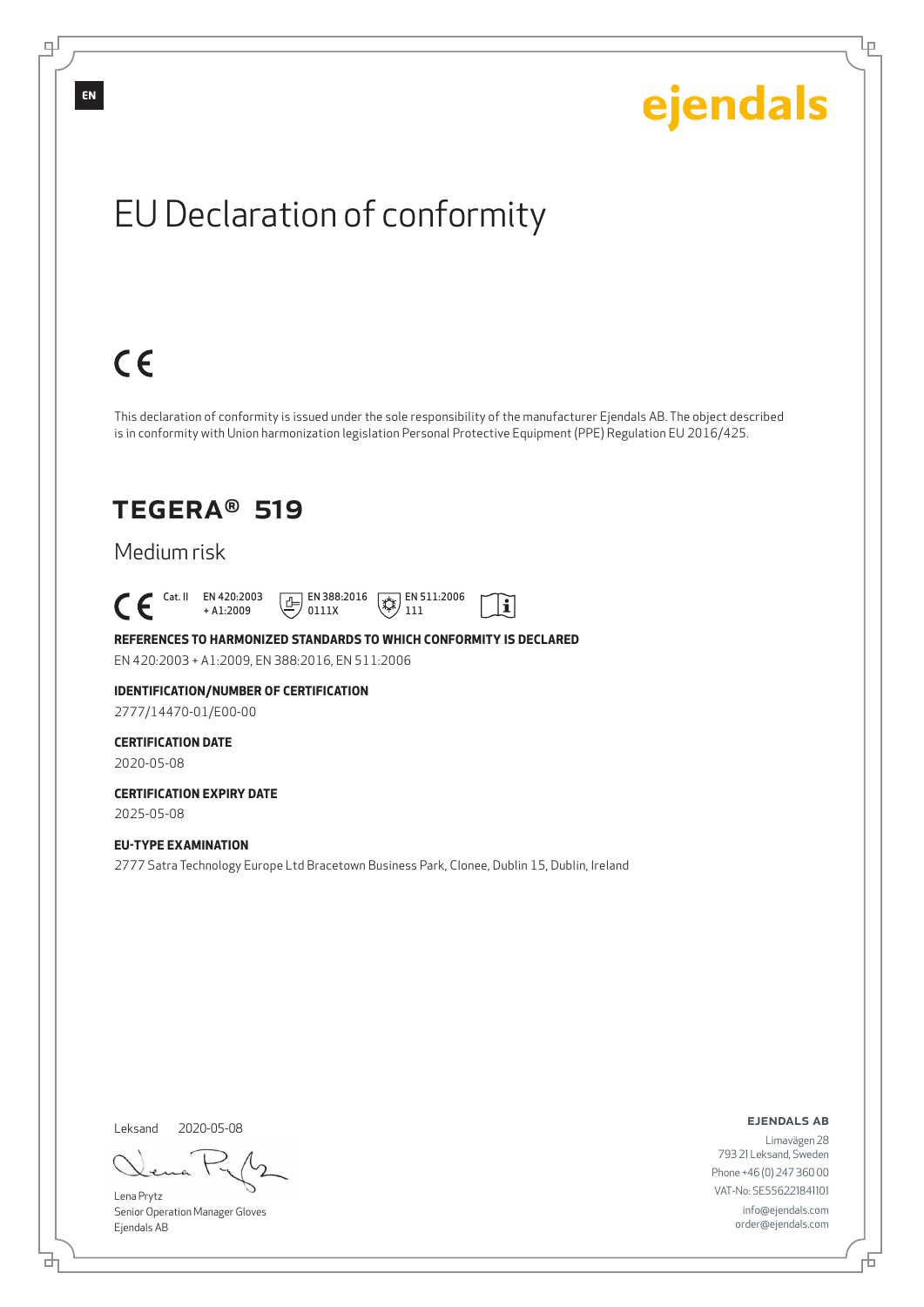Lρ

# EU Declaration of conformity

# $C \in$

This declaration of conformity is issued under the sole responsibility of the manufacturer Ejendals AB. The object described is in conformity with Union harmonization legislation Personal Protective Equipment (PPE) Regulation EU 2016/425.

 $\mathbf{i}$ 

### TEGERA® 519

#### Medium risk

 $\begin{bmatrix} \mathsf{Cat} & \mathsf{II} & \mathsf{EN} & 420:2003 \\ + & 41:2009 \end{bmatrix}$ + A1:2009  $E$  EN 388:2016 0111X  $\mathbb{R}$  EN 511:2006 111

#### **REFERENCES TO HARMONIZED STANDARDS TO WHICH CONFORMITY IS DECLARED** EN 420:2003 + A1:2009, EN 388:2016, EN 511:2006

#### **IDENTIFICATION/NUMBER OF CERTIFICATION** 2777/14470-01/E00-00

**CERTIFICATION DATE**

2020-05-08

#### **CERTIFICATION EXPIRY DATE** 2025-05-08

**EU-TYPE EXAMINATION** 2777 Satra Technology Europe Ltd Bracetown Business Park, Clonee, Dublin 15, Dublin, Ireland

Leksand 2020-05-08

<u>다</u>

Lena Prytz Senior Operation Manager Gloves Ejendals AB

ejendals ab

Đ

Limavägen 28 793 21 Leksand, Sweden Phone +46 (0) 247 360 00 VAT-No: SE556221841101 info@ejendals.com order@ejendals.com

**EN**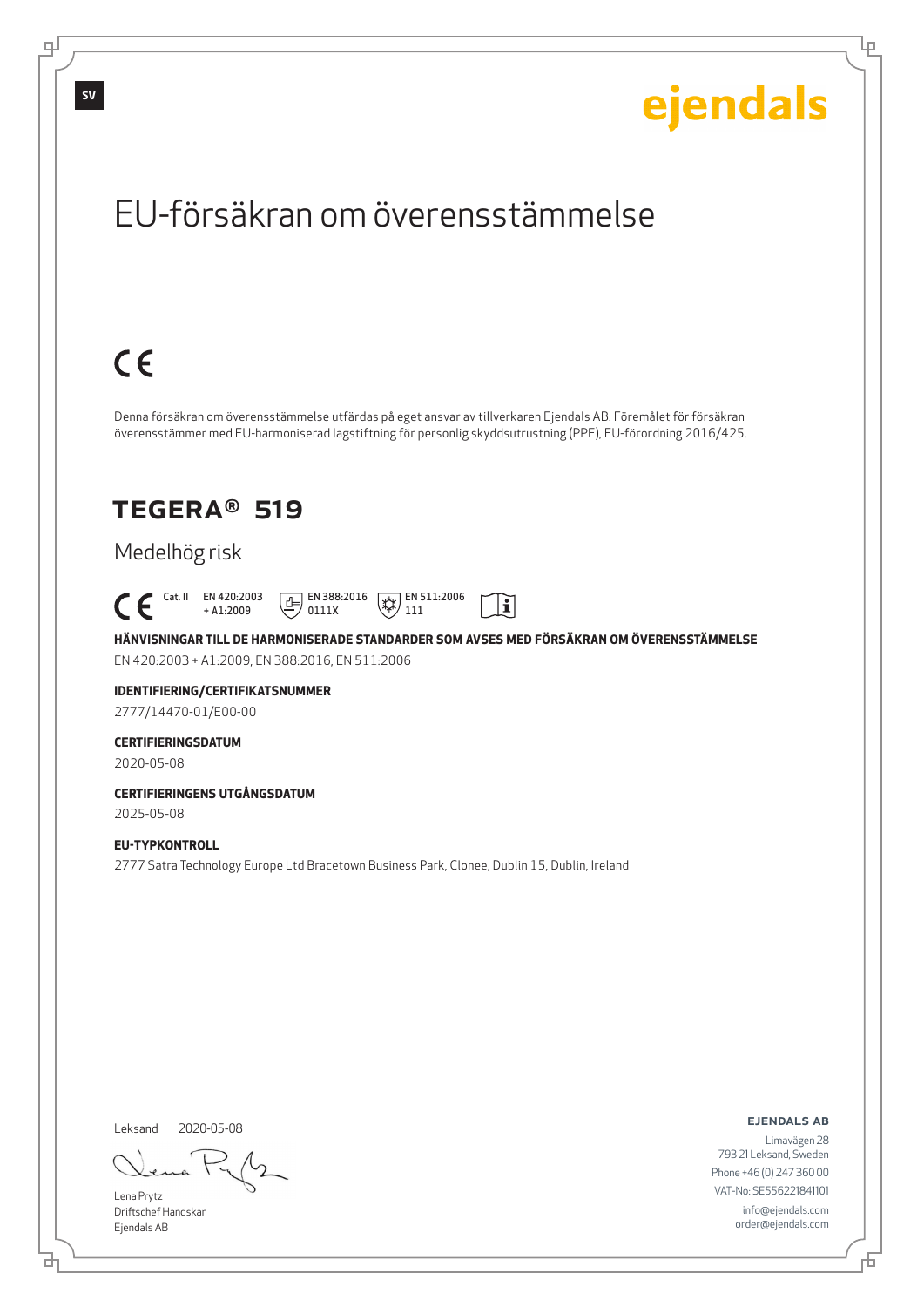Lρ

# EU-försäkran om överensstämmelse

# $C \in$

Denna försäkran om överensstämmelse utfärdas på eget ansvar av tillverkaren Ejendals AB. Föremålet för försäkran överensstämmer med EU-harmoniserad lagstiftning för personlig skyddsutrustning (PPE), EU-förordning 2016/425.

### TEGERA® 519

### Medelhög risk

 Cat. II EN 420:2003 + A1:2009  $E$  EN 388:2016 0111X  $\mathbb{R}$  EN 511:2006 111

**HÄNVISNINGAR TILL DE HARMONISERADE STANDARDER SOM AVSES MED FÖRSÄKRAN OM ÖVERENSSTÄMMELSE** EN 420:2003 + A1:2009, EN 388:2016, EN 511:2006

 $|\tilde{\mathbf{i}}|$ 

### **IDENTIFIERING/CERTIFIKATSNUMMER**

2777/14470-01/E00-00

#### **CERTIFIERINGSDATUM**

2020-05-08

#### **CERTIFIERINGENS UTGÅNGSDATUM** 2025-05-08

#### **EU-TYPKONTROLL**

2777 Satra Technology Europe Ltd Bracetown Business Park, Clonee, Dublin 15, Dublin, Ireland

Leksand

2020-05-08

Lena Prytz Driftschef Handskar Ejendals AB

<u>다</u>

ejendals ab

Đ

Limavägen 28 793 21 Leksand, Sweden Phone +46 (0) 247 360 00 VAT-No: SE556221841101 info@ejendals.com order@ejendals.com

டி

**SV**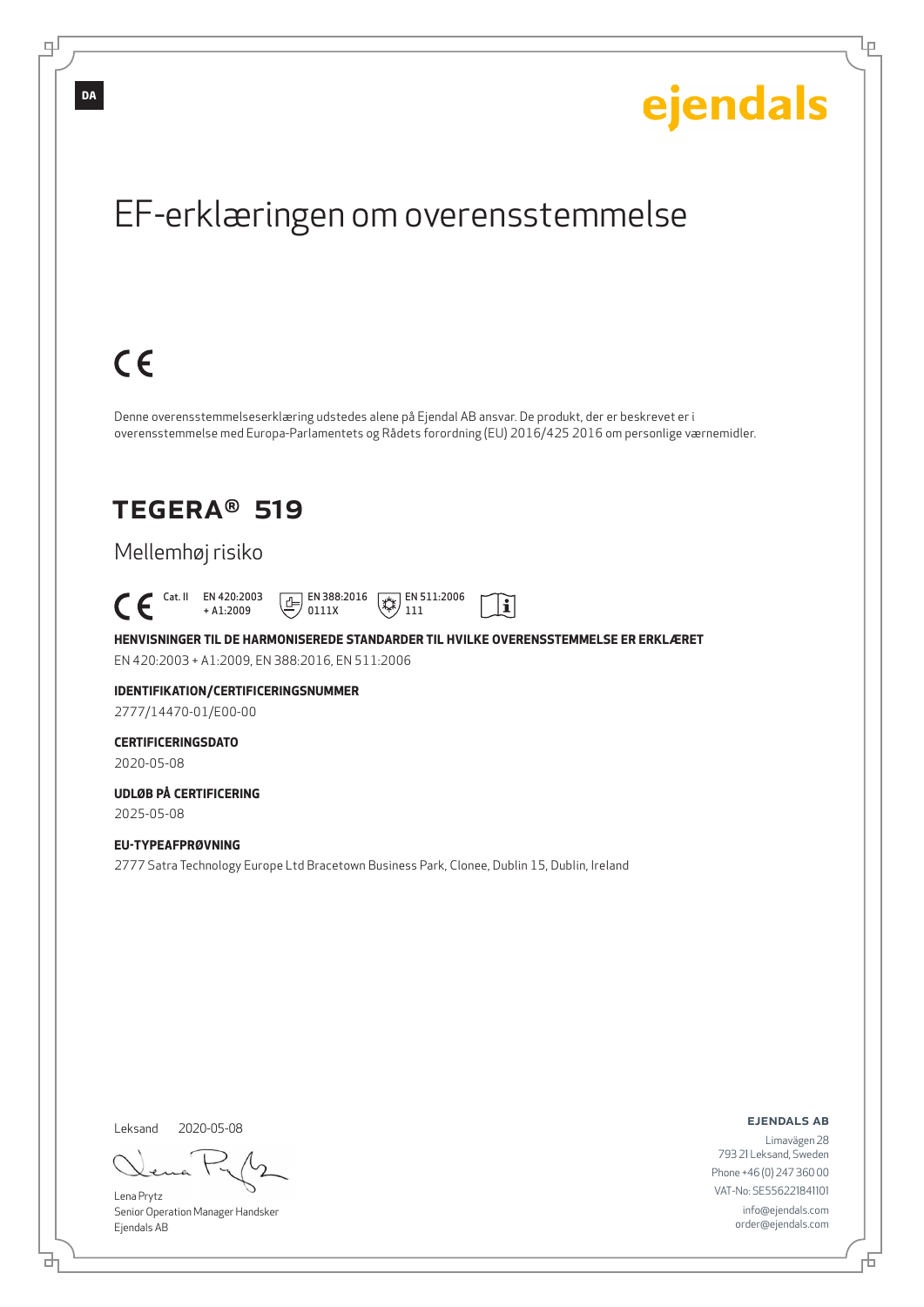Ļμ

# EF-erklæringen om overensstemmelse

# $C \in$

Denne overensstemmelseserklæring udstedes alene på Ejendal AB ansvar. De produkt, der er beskrevet er i overensstemmelse med Europa-Parlamentets og Rådets forordning (EU) 2016/425 2016 om personlige værnemidler.

### TEGERA® 519

### Mellemhøj risiko

 Cat. II EN 420:2003 + A1:2009  $E$  EN 388:2016 0111X  $\mathbb{R}$  EN 511:2006 111

**HENVISNINGER TIL DE HARMONISEREDE STANDARDER TIL HVILKE OVERENSSTEMMELSE ER ERKLÆRET** EN 420:2003 + A1:2009, EN 388:2016, EN 511:2006

 $|\tilde{\mathbf{i}}|$ 

### **IDENTIFIKATION/CERTIFICERINGSNUMMER**

2777/14470-01/E00-00

### **CERTIFICERINGSDATO**

2020-05-08

#### **UDLØB PÅ CERTIFICERING** 2025-05-08

**EU-TYPEAFPRØVNING** 2777 Satra Technology Europe Ltd Bracetown Business Park, Clonee, Dublin 15, Dublin, Ireland

Leksand

브

2020-05-08

Lena Prytz Senior Operation Manager Handsker Ejendals AB

ejendals ab

Đ

Limavägen 28 793 21 Leksand, Sweden Phone +46 (0) 247 360 00 VAT-No: SE556221841101 info@ejendals.com order@ejendals.com

டி

**DA**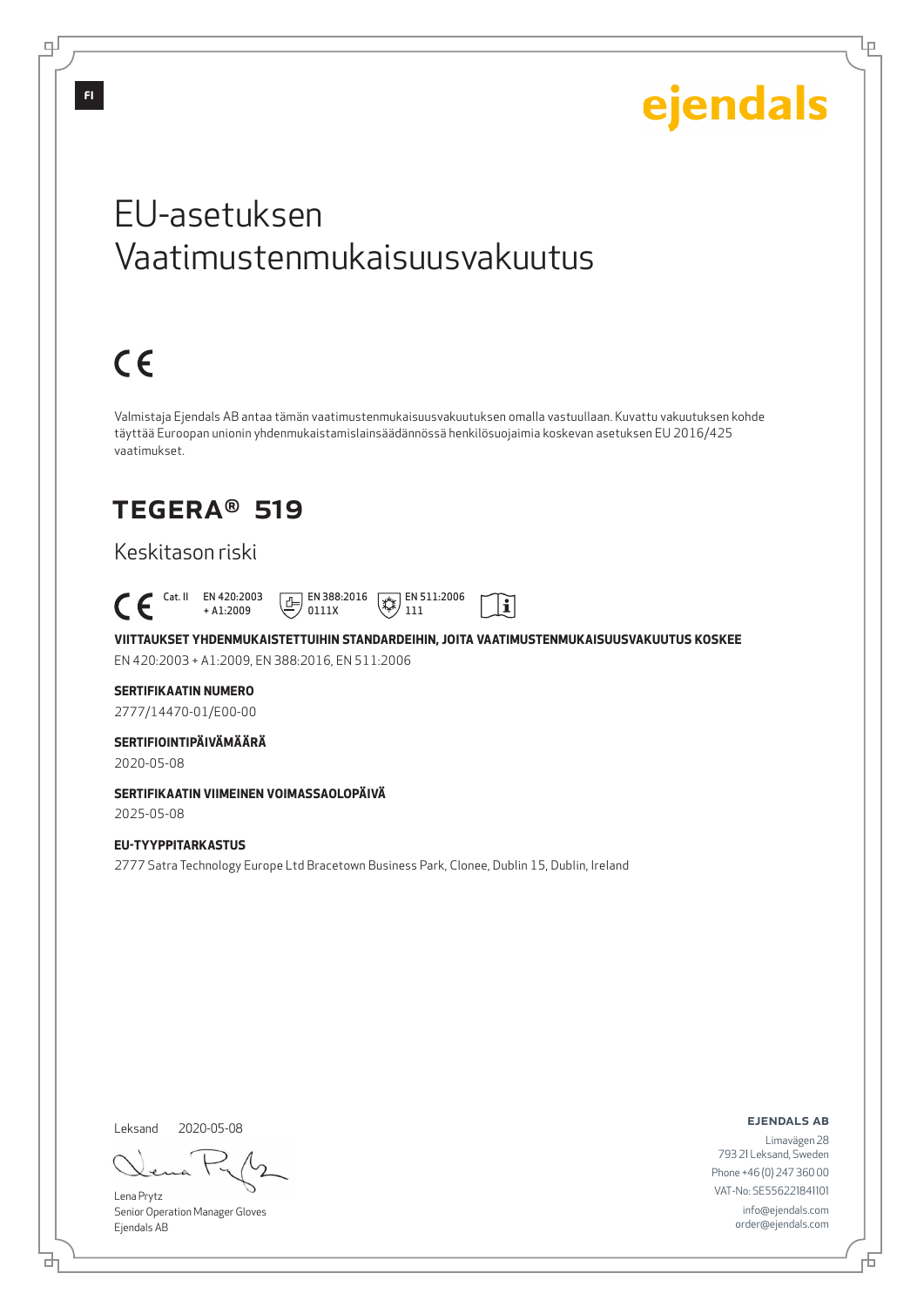Lμ

# EU-asetuksen Vaatimustenmukaisuusvakuutus

# $C \in$

Valmistaja Ejendals AB antaa tämän vaatimustenmukaisuusvakuutuksen omalla vastuullaan. Kuvattu vakuutuksen kohde täyttää Euroopan unionin yhdenmukaistamislainsäädännössä henkilösuojaimia koskevan asetuksen EU 2016/425 vaatimukset.

## TEGERA® 519

### Keskitason riski

 Cat. II EN 420:2003  $\boxed{\underline{f}}$  EN 388:2016  $\mathbb{R}$  EN 511:2006  $|\tilde{\mathbf{i}}|$ + A1:2009 0111X 111

**VIITTAUKSET YHDENMUKAISTETTUIHIN STANDARDEIHIN, JOITA VAATIMUSTENMUKAISUUSVAKUUTUS KOSKEE** EN 420:2003 + A1:2009, EN 388:2016, EN 511:2006

#### **SERTIFIKAATIN NUMERO**

2777/14470-01/E00-00

#### **SERTIFIOINTIPÄIVÄMÄÄRÄ**

2020-05-08

#### **SERTIFIKAATIN VIIMEINEN VOIMASSAOLOPÄIVÄ**

2025-05-08

#### **EU-TYYPPITARKASTUS** 2777 Satra Technology Europe Ltd Bracetown Business Park, Clonee, Dublin 15, Dublin, Ireland

Leksand

브

2020-05-08

Lena Prytz Senior Operation Manager Gloves Ejendals AB

ejendals ab

Б

Limavägen 28 793 21 Leksand, Sweden Phone +46 (0) 247 360 00 VAT-No: SE556221841101 info@ejendals.com order@ejendals.com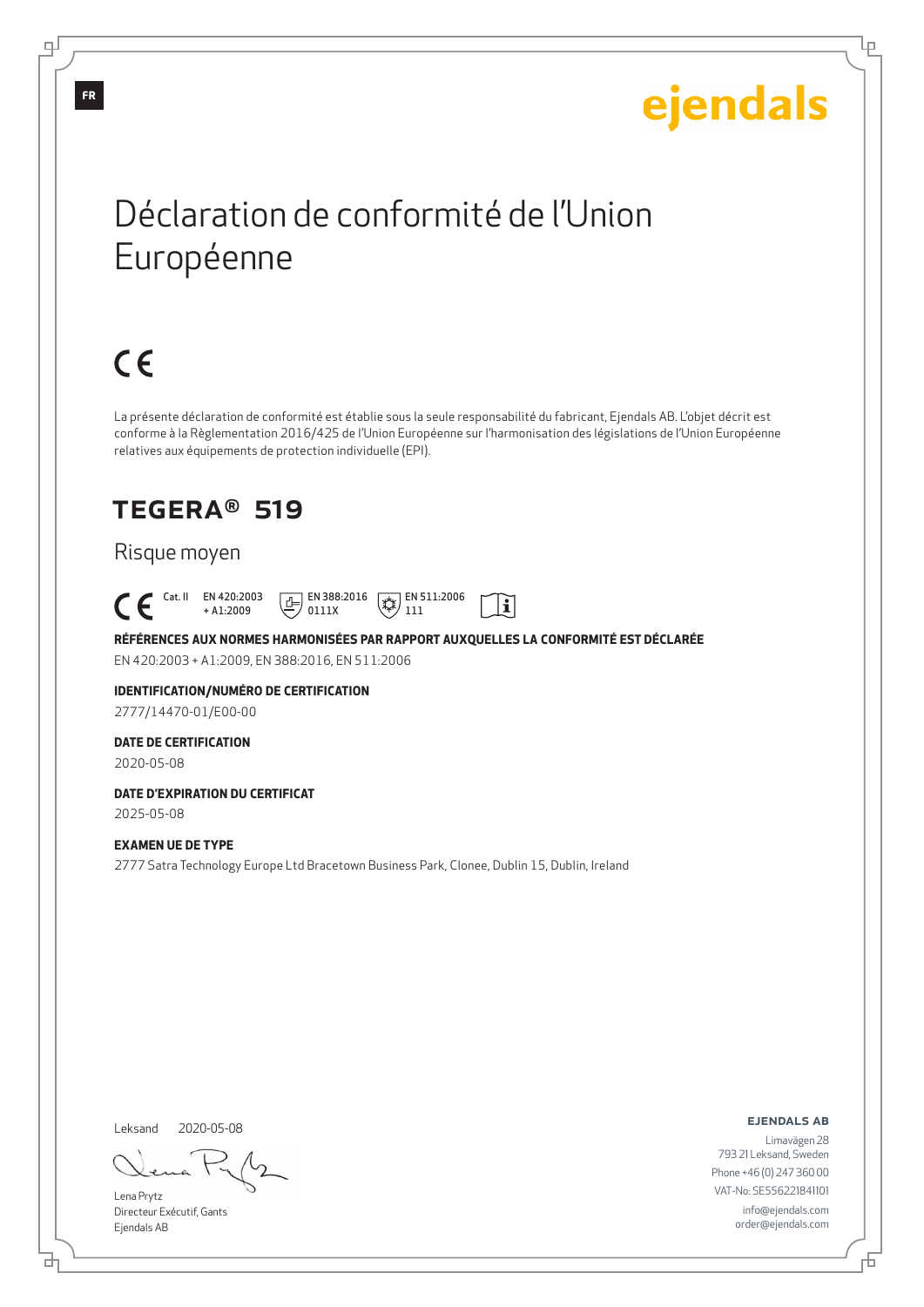Ļμ

# Déclaration de conformité de l'Union Européenne

# $C \in$

La présente déclaration de conformité est établie sous la seule responsabilité du fabricant, Ejendals AB. L'objet décrit est conforme à la Règlementation 2016/425 de l'Union Européenne sur l'harmonisation des législations de l'Union Européenne relatives aux équipements de protection individuelle (EPI).

### TEGERA® 519

#### Risque moyen

 Cat. II EN 420:2003  $E$  EN 388:2016  $\mathbb{R}$  EN 511:2006  $|\tilde{\mathbf{i}}|$ + A1:2009 0111X 111

**RÉFÉRENCES AUX NORMES HARMONISÉES PAR RAPPORT AUXQUELLES LA CONFORMITÉ EST DÉCLARÉE** EN 420:2003 + A1:2009, EN 388:2016, EN 511:2006

### **IDENTIFICATION/NUMÉRO DE CERTIFICATION**

2777/14470-01/E00-00

#### **DATE DE CERTIFICATION**

2020-05-08

#### **DATE D'EXPIRATION DU CERTIFICAT** 2025-05-08

**EXAMEN UE DE TYPE**

2777 Satra Technology Europe Ltd Bracetown Business Park, Clonee, Dublin 15, Dublin, Ireland

Leksand 2020-05-08

Lena Prytz Directeur Exécutif, Gants Ejendals AB

ejendals ab

Б

Limavägen 28 793 21 Leksand, Sweden Phone +46 (0) 247 360 00 VAT-No: SE556221841101 info@ejendals.com order@ejendals.com

டி

**FR**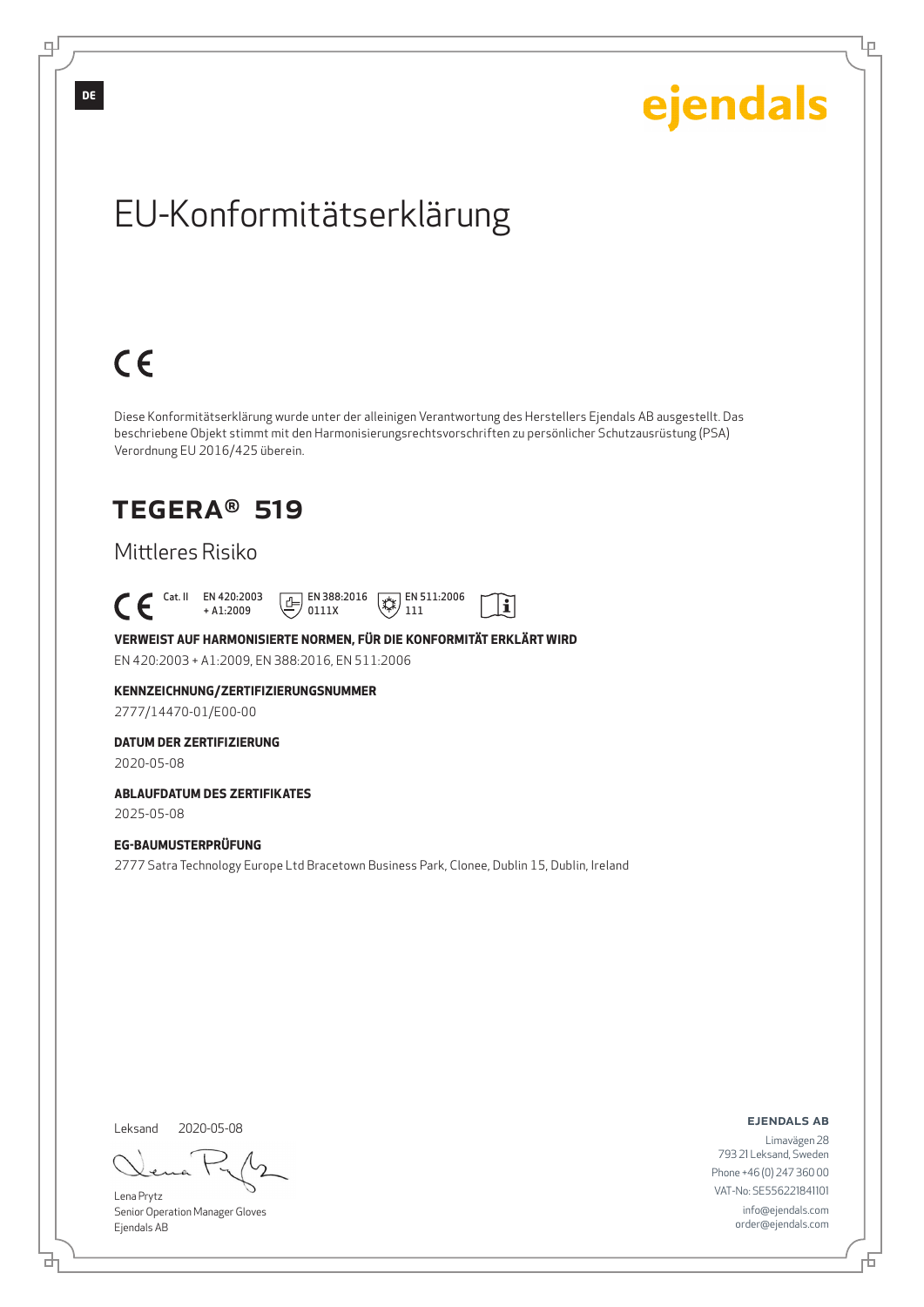Ļμ

# EU-Konformitätserklärung

# $C \in$

Diese Konformitätserklärung wurde unter der alleinigen Verantwortung des Herstellers Ejendals AB ausgestellt. Das beschriebene Objekt stimmt mit den Harmonisierungsrechtsvorschriften zu persönlicher Schutzausrüstung (PSA) Verordnung EU 2016/425 überein.

### TEGERA® 519

### Mittleres Risiko

 Cat. II EN 420:2003  $E$  EN 388:2016  $\mathbb{R}$  EN 511:2006  $|\tilde{\mathbf{i}}|$ + A1:2009 0111X 111

#### **VERWEIST AUF HARMONISIERTE NORMEN, FÜR DIE KONFORMITÄT ERKLÄRT WIRD** EN 420:2003 + A1:2009, EN 388:2016, EN 511:2006

#### **KENNZEICHNUNG/ZERTIFIZIERUNGSNUMMER**

2777/14470-01/E00-00

#### **DATUM DER ZERTIFIZIERUNG**

2020-05-08

#### **ABLAUFDATUM DES ZERTIFIKATES**

2025-05-08

#### **EG-BAUMUSTERPRÜFUNG**

2777 Satra Technology Europe Ltd Bracetown Business Park, Clonee, Dublin 15, Dublin, Ireland

Leksand 2020-05-08

<u>다</u>

Lena Prytz Senior Operation Manager Gloves Ejendals AB

#### ejendals ab

Limavägen 28 793 21 Leksand, Sweden Phone +46 (0) 247 360 00 VAT-No: SE556221841101 info@ejendals.com order@ejendals.com

∓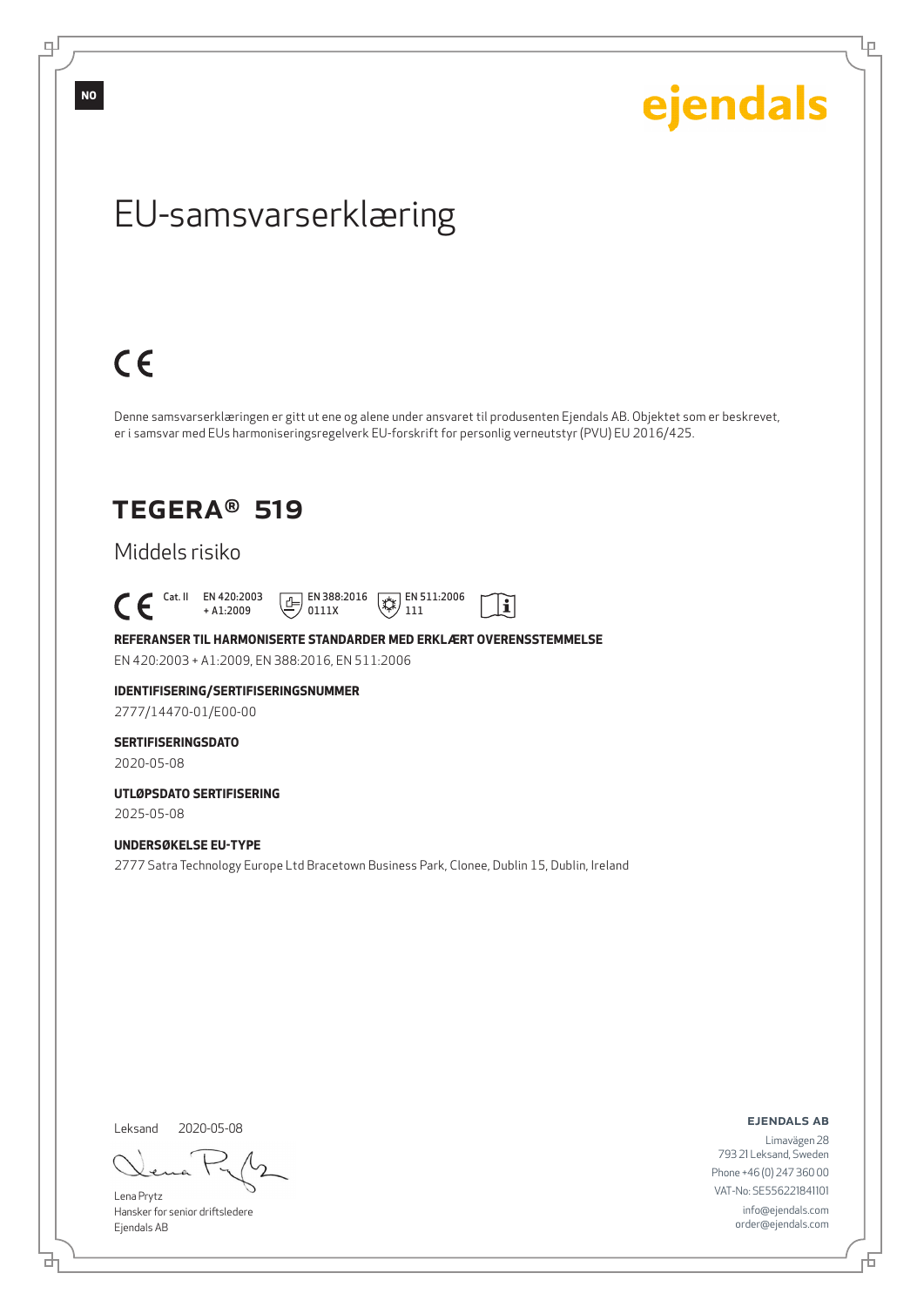ejendals

Ļμ

# EU-samsvarserklæring

# $C \in$

Denne samsvarserklæringen er gitt ut ene og alene under ansvaret til produsenten Ejendals AB. Objektet som er beskrevet, er i samsvar med EUs harmoniseringsregelverk EU-forskrift for personlig verneutstyr (PVU) EU 2016/425.

 $|\tilde{\mathbf{i}}|$ 

### TEGERA® 519

### Middels risiko

 $\begin{bmatrix} \begin{array}{ccc} \text{Cat. II} & \text{EN } 420:2003 \\ + \text{A1:2009} \end{array} \end{bmatrix}$ + A1:2009  $\boxed{E}$  EN 388:2016 0111X  $\mathbb{R}$  EN 511:2006 111

**REFERANSER TIL HARMONISERTE STANDARDER MED ERKLÆRT OVERENSSTEMMELSE** EN 420:2003 + A1:2009, EN 388:2016, EN 511:2006

### **IDENTIFISERING/SERTIFISERINGSNUMMER**

2777/14470-01/E00-00

#### **SERTIFISERINGSDATO**

2020-05-08

#### **UTLØPSDATO SERTIFISERING** 2025-05-08

**UNDERSØKELSE EU-TYPE**

2777 Satra Technology Europe Ltd Bracetown Business Park, Clonee, Dublin 15, Dublin, Ireland

Leksand 2020-05-08

<u>다</u>

Lena Prytz Hansker for senior driftsledere Ejendals AB

ejendals ab

Limavägen 28 793 21 Leksand, Sweden Phone +46 (0) 247 360 00 VAT-No: SE556221841101 info@ejendals.com order@ejendals.com

Đ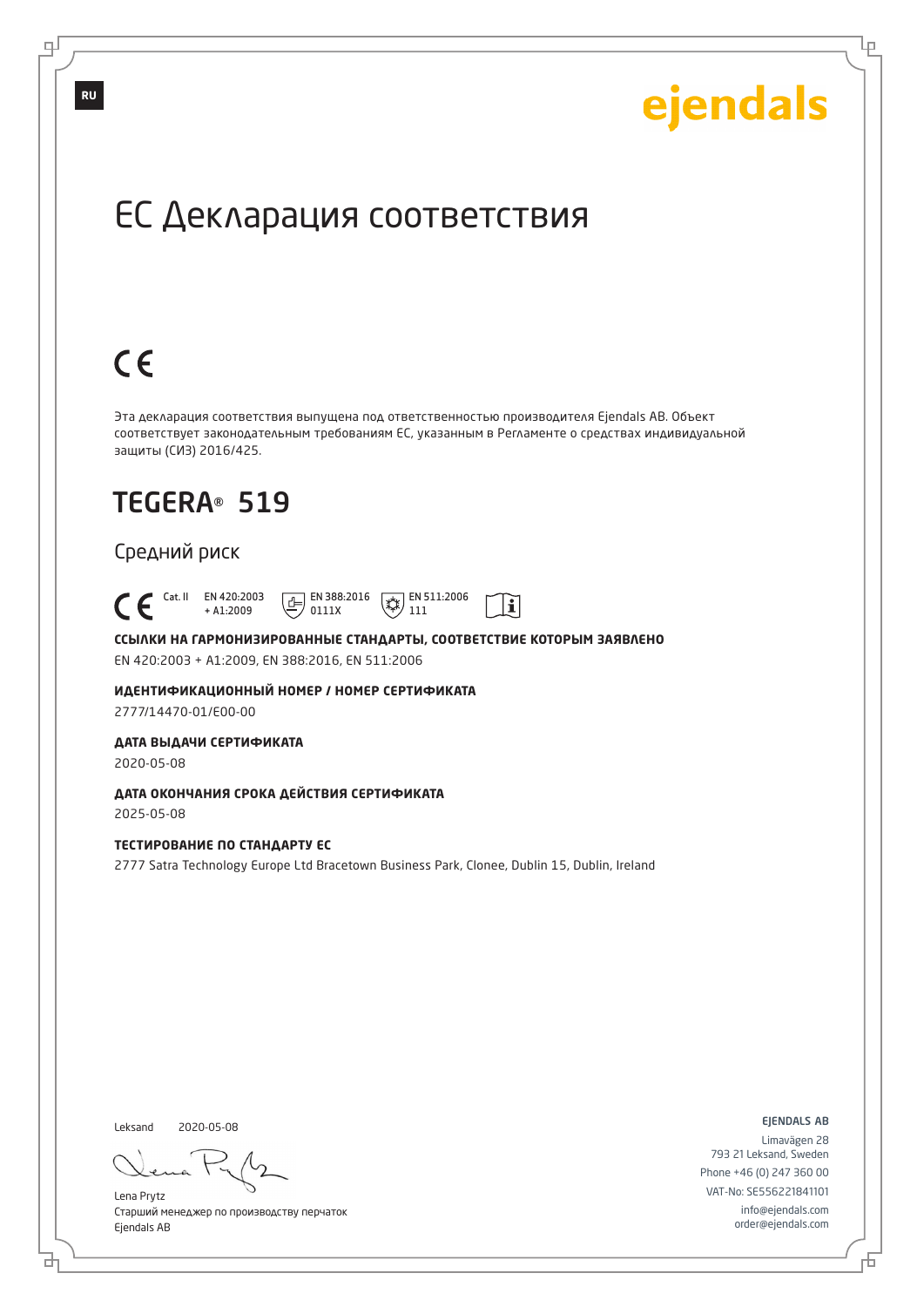Ļμ

# ЕС Декларация соответствия

# $C \in$

Эта декларация соответствия выпущена под ответственностью производителя Ejendals AB. Объект соответствует законодательным требованиям ЕС, указанным в Регламенте о средствах индивидуальной защиты (СИЗ) 2016/425.

 $|\tilde{\mathbf{i}}|$ 

# TEGERA® 519

#### Средний риск

 Cat. II EN 420:2003 + A1:2009  $\boxed{E}$  EN 388:2016 0111X  $\overline{**}$  EN 511:2006 111

**ССЫЛКИ НА ГАРМОНИЗИРОВАННЫЕ СТАНДАРТЫ, СООТВЕТСТВИЕ КОТОРЫМ ЗАЯВЛЕНО** EN 420:2003 + A1:2009, EN 388:2016, EN 511:2006

**ИДЕНТИФИКАЦИОННЫЙ НОМЕР / НОМЕР СЕРТИФИКАТА** 2777/14470-01/E00-00

**ДАТА ВЫДАЧИ СЕРТИФИКАТА**

2020-05-08

**ДАТА ОКОНЧАНИЯ СРОКА ДЕЙСТВИЯ СЕРТИФИКАТА** 2025-05-08

#### **ТЕСТИРОВАНИЕ ПО СТАНДАРТУ ЕС**

2777 Satra Technology Europe Ltd Bracetown Business Park, Clonee, Dublin 15, Dublin, Ireland

Leksand 2020-05-08

브

Lena Prytz Старший менеджер по производству перчаток Ejendals AB

ejendals ab

Đ

Limavägen 28 793 21 Leksand, Sweden Phone +46 (0) 247 360 00 VAT-No: SE556221841101 info@ejendals.com order@ejendals.com

**RU**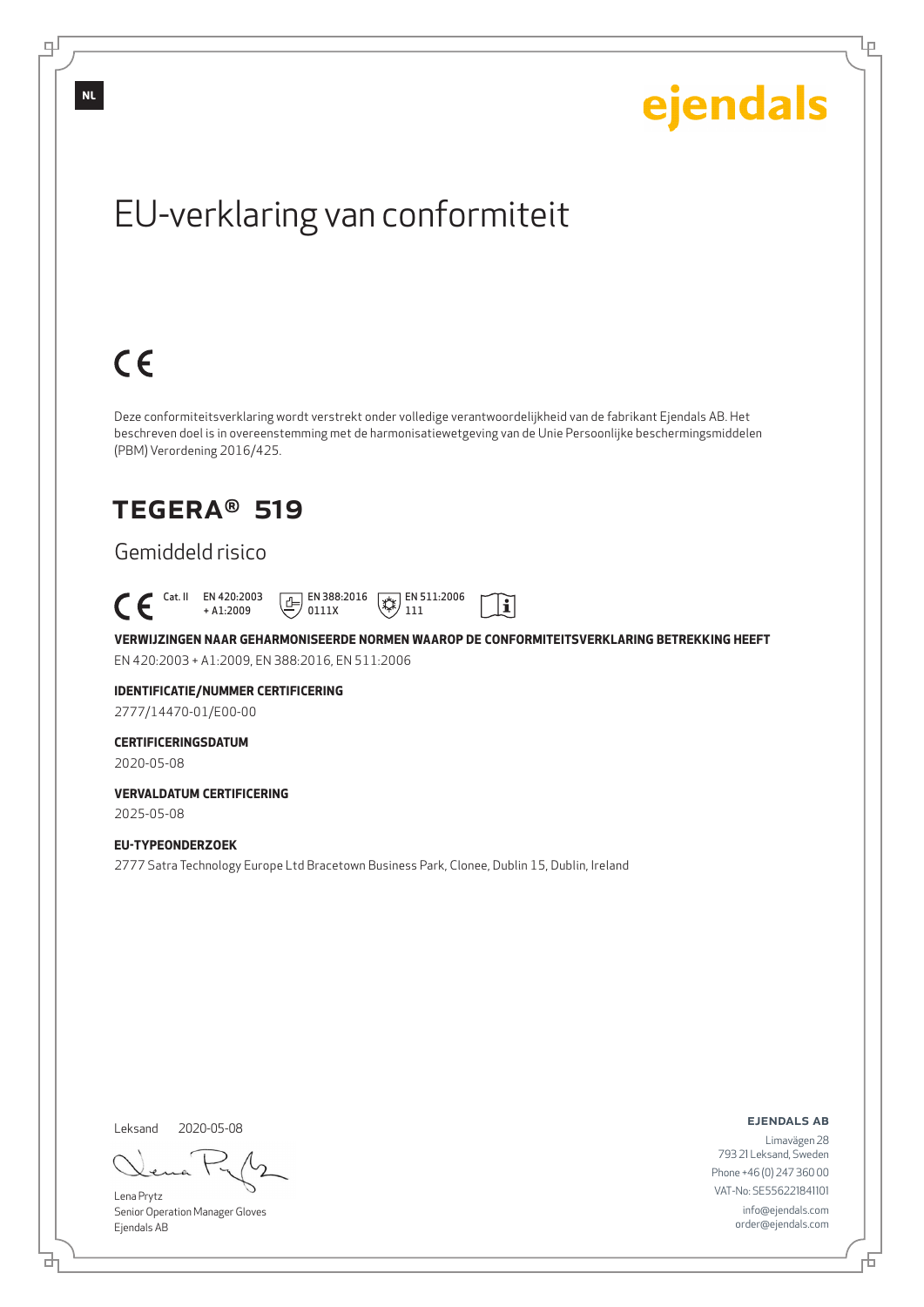# EU-verklaring van conformiteit

Deze conformiteitsverklaring wordt verstrekt onder volledige verantwoordelijkheid van de fabrikant Ejendals AB. Het beschreven doel is in overeenstemming met de harmonisatiewetgeving van de Unie Persoonlijke beschermingsmiddelen (PBM) Verordening 2016/425.

## TEGERA® 519

### Gemiddeld risico

 $C \in$ 

 Cat. II EN 420:2003  $E$  EN 388:2016  $\mathbb{R}$  EN 511:2006  $\mathbf{i}$ + A1:2009 0111X 111

**VERWIJZINGEN NAAR GEHARMONISEERDE NORMEN WAAROP DE CONFORMITEITSVERKLARING BETREKKING HEEFT** EN 420:2003 + A1:2009, EN 388:2016, EN 511:2006

### **IDENTIFICATIE/NUMMER CERTIFICERING**

2777/14470-01/E00-00

#### **CERTIFICERINGSDATUM**

2020-05-08

#### **VERVALDATUM CERTIFICERING** 2025-05-08

#### **EU-TYPEONDERZOEK**

2777 Satra Technology Europe Ltd Bracetown Business Park, Clonee, Dublin 15, Dublin, Ireland

Leksand 2020-05-08

브

Lena Prytz Senior Operation Manager Gloves Ejendals AB

ejendals ab

Đ

Limavägen 28 793 21 Leksand, Sweden Phone +46 (0) 247 360 00 VAT-No: SE556221841101 info@ejendals.com order@ejendals.com

**NL**

டி

ejendals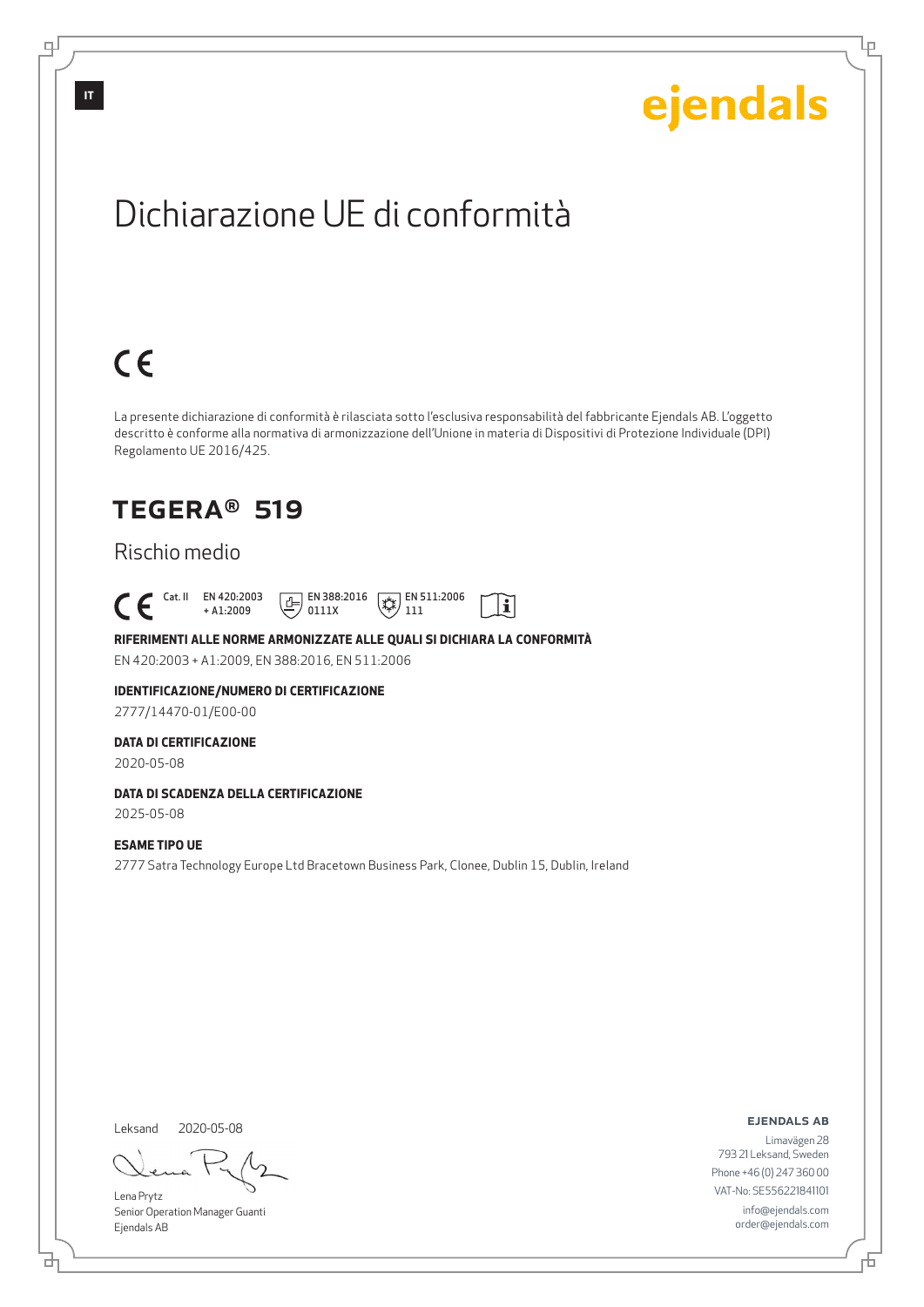Lρ

# Dichiarazione UE di conformità

# $C \in$

La presente dichiarazione di conformità è rilasciata sotto l'esclusiva responsabilità del fabbricante Ejendals AB. L'oggetto descritto è conforme alla normativa di armonizzazione dell'Unione in materia di Dispositivi di Protezione Individuale (DPI) Regolamento UE 2016/425.

 $\mathbf{i}$ 

### TEGERA® 519

### Rischio medio

 Cat. II EN 420:2003 + A1:2009  $\boxed{E}$  EN 388:2016 0111X  $\mathbb{R}$  EN 511:2006 111

#### **RIFERIMENTI ALLE NORME ARMONIZZATE ALLE QUALI SI DICHIARA LA CONFORMITÀ**

EN 420:2003 + A1:2009, EN 388:2016, EN 511:2006

#### **IDENTIFICAZIONE/NUMERO DI CERTIFICAZIONE**

2777/14470-01/E00-00

#### **DATA DI CERTIFICAZIONE**

2020-05-08

#### **DATA DI SCADENZA DELLA CERTIFICAZIONE**

2025-05-08

#### **ESAME TIPO UE**

2777 Satra Technology Europe Ltd Bracetown Business Park, Clonee, Dublin 15, Dublin, Ireland

Leksand

<u>다</u>

2020-05-08

Lena Prytz Senior Operation Manager Guanti Ejendals AB

#### ejendals ab

Limavägen 28 793 21 Leksand, Sweden Phone +46 (0) 247 360 00 VAT-No: SE556221841101 info@ejendals.com order@ejendals.com

டி

**IT**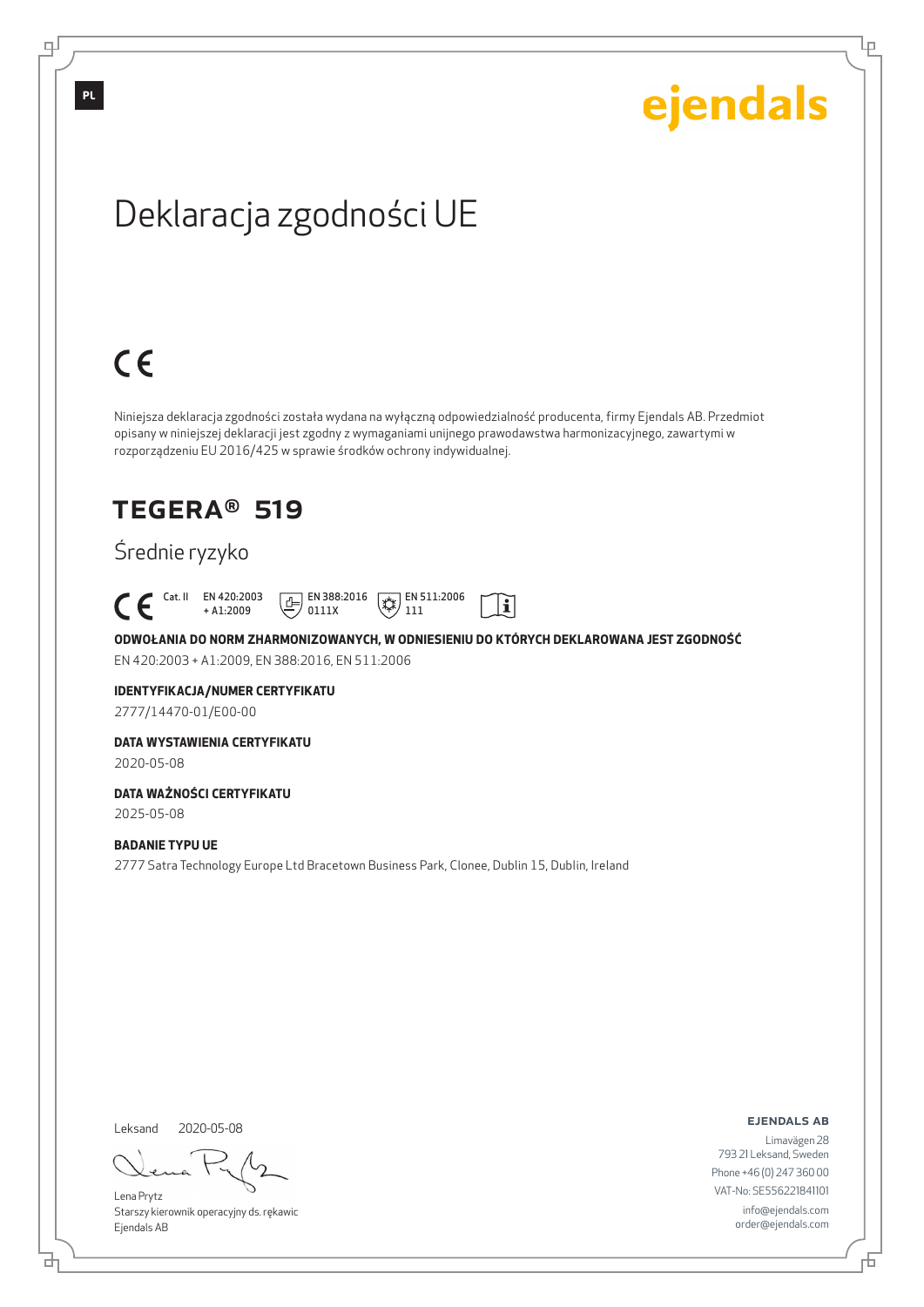Ļμ

# Deklaracja zgodności UE

# $C \in$

Niniejsza deklaracja zgodności została wydana na wyłączną odpowiedzialność producenta, firmy Ejendals AB. Przedmiot opisany w niniejszej deklaracji jest zgodny z wymaganiami unijnego prawodawstwa harmonizacyjnego, zawartymi w rozporządzeniu EU 2016/425 w sprawie środków ochrony indywidualnej.

### TEGERA® 519

### Średnie ryzyko

 Cat. II EN 420:2003  $\boxed{E}$  EN 388:2016  $\mathbb{R}$  EN 511:2006  $|\tilde{\mathbf{i}}|$ + A1:2009 0111X 111

**ODWOŁANIA DO NORM ZHARMONIZOWANYCH, W ODNIESIENIU DO KTÓRYCH DEKLAROWANA JEST ZGODNOŚĆ** EN 420:2003 + A1:2009, EN 388:2016, EN 511:2006

#### **IDENTYFIKACJA/NUMER CERTYFIKATU**

2777/14470-01/E00-00

#### **DATA WYSTAWIENIA CERTYFIKATU**

2020-05-08

#### **DATA WAŻNOŚCI CERTYFIKATU**

2025-05-08

#### **BADANIE TYPU UE**

2777 Satra Technology Europe Ltd Bracetown Business Park, Clonee, Dublin 15, Dublin, Ireland

Leksand 2020-05-08

브

Lena Prytz Starszy kierownik operacyjny ds. rękawic Ejendals AB

ejendals ab

Б

Limavägen 28 793 21 Leksand, Sweden Phone +46 (0) 247 360 00 VAT-No: SE556221841101 info@ejendals.com order@ejendals.com

**PL**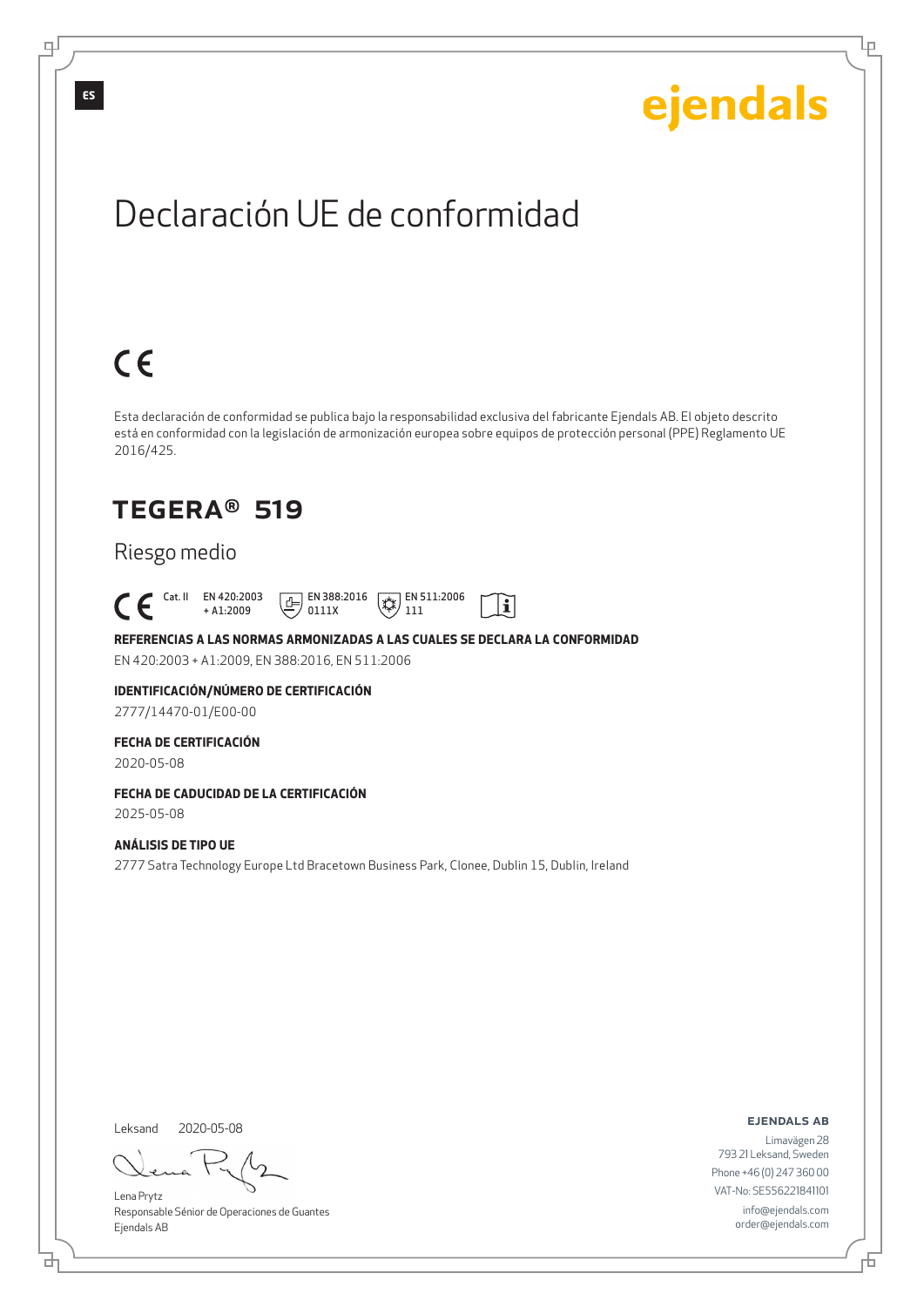Lρ

# Declaración UE de conformidad

# $C \in$

Esta declaración de conformidad se publica bajo la responsabilidad exclusiva del fabricante Ejendals AB. El objeto descrito está en conformidad con la legislación de armonización europea sobre equipos de protección personal (PPE) Reglamento UE 2016/425.

 $|\tilde{\mathbf{i}}|$ 

### TEGERA® 519

### Riesgo medio

 Cat. II EN 420:2003 + A1:2009  $E$  EN 388:2016 0111X  $\mathbb{R}$  EN 511:2006 111

**REFERENCIAS A LAS NORMAS ARMONIZADAS A LAS CUALES SE DECLARA LA CONFORMIDAD** EN 420:2003 + A1:2009, EN 388:2016, EN 511:2006

**IDENTIFICACIÓN/NÚMERO DE CERTIFICACIÓN**

2777/14470-01/E00-00

#### **FECHA DE CERTIFICACIÓN**

2020-05-08

### **FECHA DE CADUCIDAD DE LA CERTIFICACIÓN**

2025-05-08

#### **ANÁLISIS DE TIPO UE**

2777 Satra Technology Europe Ltd Bracetown Business Park, Clonee, Dublin 15, Dublin, Ireland

Leksand 2020-05-08

<u>다</u>

Lena Prytz Responsable Sénior de Operaciones de Guantes Ejendals AB

ejendals ab

Б

Limavägen 28 793 21 Leksand, Sweden Phone +46 (0) 247 360 00 VAT-No: SE556221841101 info@ejendals.com order@ejendals.com

டி

**ES**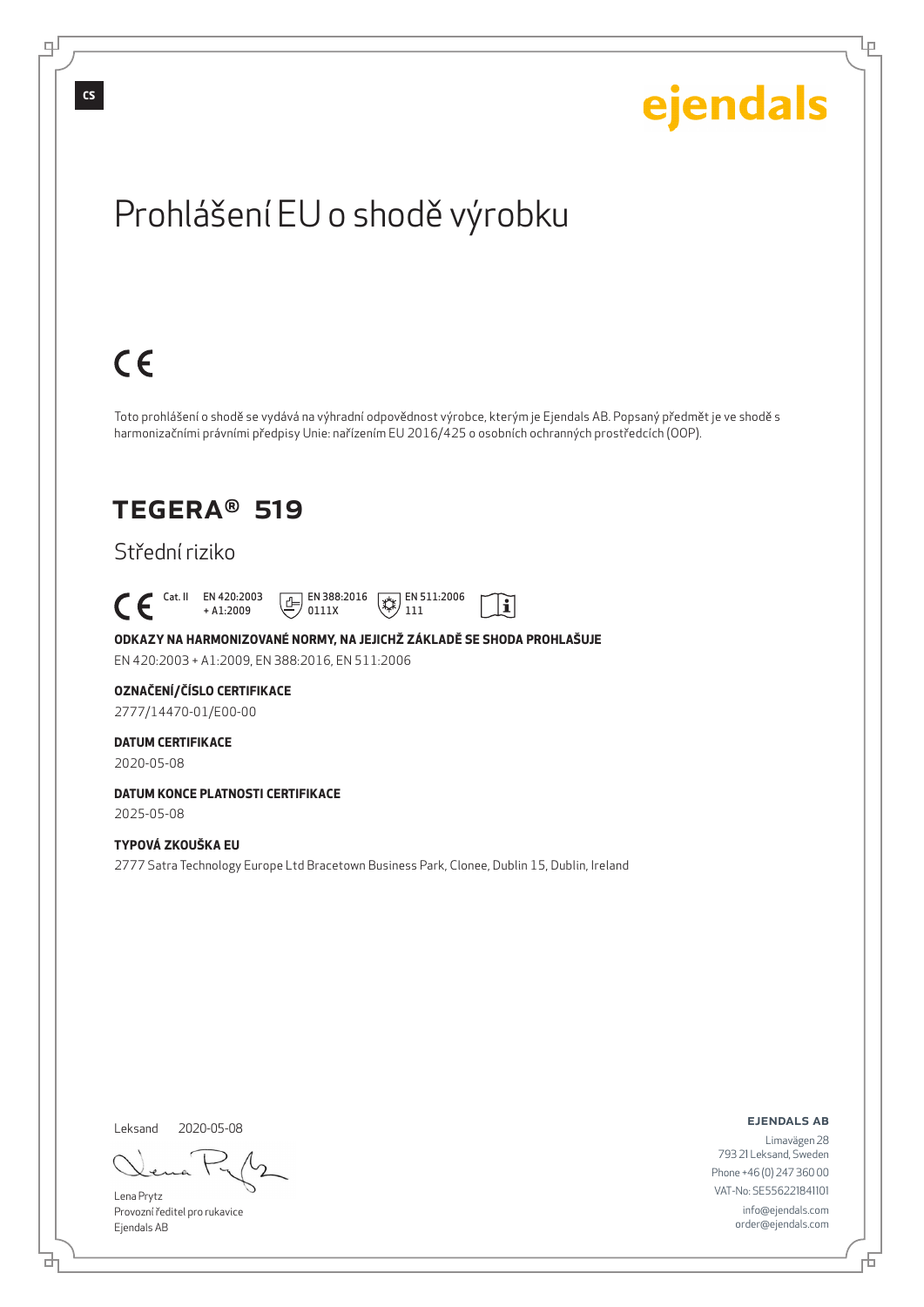Lρ

# Prohlášení EU o shodě výrobku

# $C \in$

Toto prohlášení o shodě se vydává na výhradní odpovědnost výrobce, kterým je Ejendals AB. Popsaný předmět je ve shodě s harmonizačními právními předpisy Unie: nařízením EU 2016/425 o osobních ochranných prostředcích (OOP).

 $|\tilde{\mathbf{i}}|$ 

### TEGERA® 519

### Střední riziko

 Cat. II EN 420:2003 + A1:2009  $E$  EN 388:2016 0111X  $\mathbb{R}$  EN 511:2006 111

**ODKAZY NA HARMONIZOVANÉ NORMY, NA JEJICHŽ ZÁKLADĚ SE SHODA PROHLAŠUJE** EN 420:2003 + A1:2009, EN 388:2016, EN 511:2006

#### **OZNAČENÍ/ČÍSLO CERTIFIKACE**

2777/14470-01/E00-00

#### **DATUM CERTIFIKACE**

2020-05-08

#### **DATUM KONCE PLATNOSTI CERTIFIKACE** 2025-05-08

#### **TYPOVÁ ZKOUŠKA EU**

2777 Satra Technology Europe Ltd Bracetown Business Park, Clonee, Dublin 15, Dublin, Ireland

Leksand 2020-05-08

đ

Lena Prytz Provozní ředitel pro rukavice Ejendals AB

ejendals ab

Đ

Limavägen 28 793 21 Leksand, Sweden Phone +46 (0) 247 360 00 VAT-No: SE556221841101 info@ejendals.com order@ejendals.com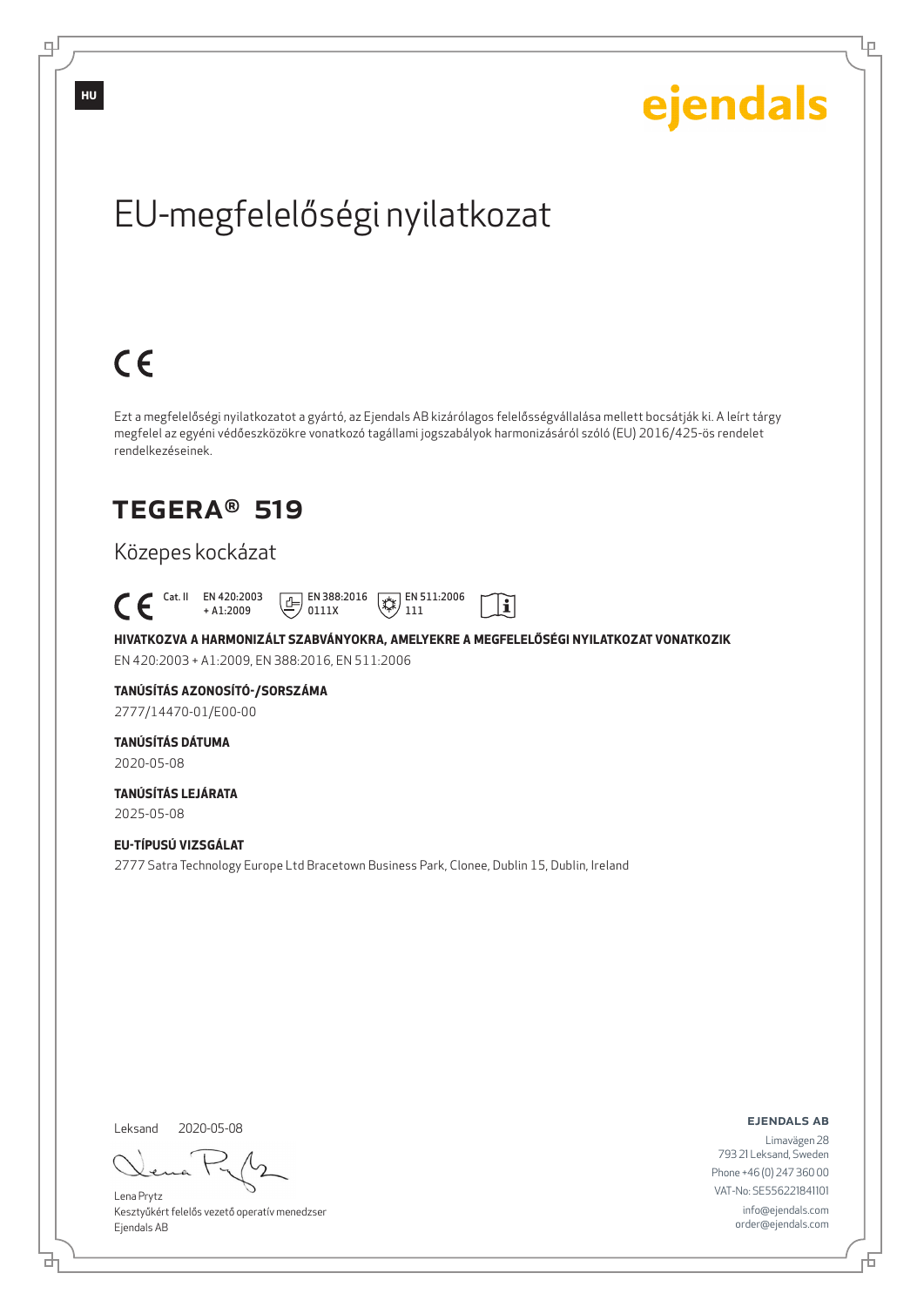Ļμ

# EU-megfelelőségi nyilatkozat

# $C \in$

Ezt a megfelelőségi nyilatkozatot a gyártó, az Ejendals AB kizárólagos felelősségvállalása mellett bocsátják ki. A leírt tárgy megfelel az egyéni védőeszközökre vonatkozó tagállami jogszabályok harmonizásáról szóló (EU) 2016/425-ös rendelet rendelkezéseinek.

### TEGERA® 519

### Közepes kockázat

 Cat. II EN 420:2003  $\boxed{\underline{f}}$  EN 388:2016  $\mathbb{R}$  EN 511:2006  $\mathbf{i}$ + A1:2009 0111X 111

**HIVATKOZVA A HARMONIZÁLT SZABVÁNYOKRA, AMELYEKRE A MEGFELELŐSÉGI NYILATKOZAT VONATKOZIK** EN 420:2003 + A1:2009, EN 388:2016, EN 511:2006

### **TANÚSÍTÁS AZONOSÍTÓ-/SORSZÁMA**

2777/14470-01/E00-00

### **TANÚSÍTÁS DÁTUMA**

2020-05-08

#### **TANÚSÍTÁS LEJÁRATA** 2025-05-08

**EU-TÍPUSÚ VIZSGÁLAT** 2777 Satra Technology Europe Ltd Bracetown Business Park, Clonee, Dublin 15, Dublin, Ireland

Leksand 2020-05-08

브

Lena Prytz Kesztyűkért felelős vezető operatív menedzser Ejendals AB

ejendals ab

Б

Limavägen 28 793 21 Leksand, Sweden Phone +46 (0) 247 360 00 VAT-No: SE556221841101 info@ejendals.com order@ejendals.com

**HU**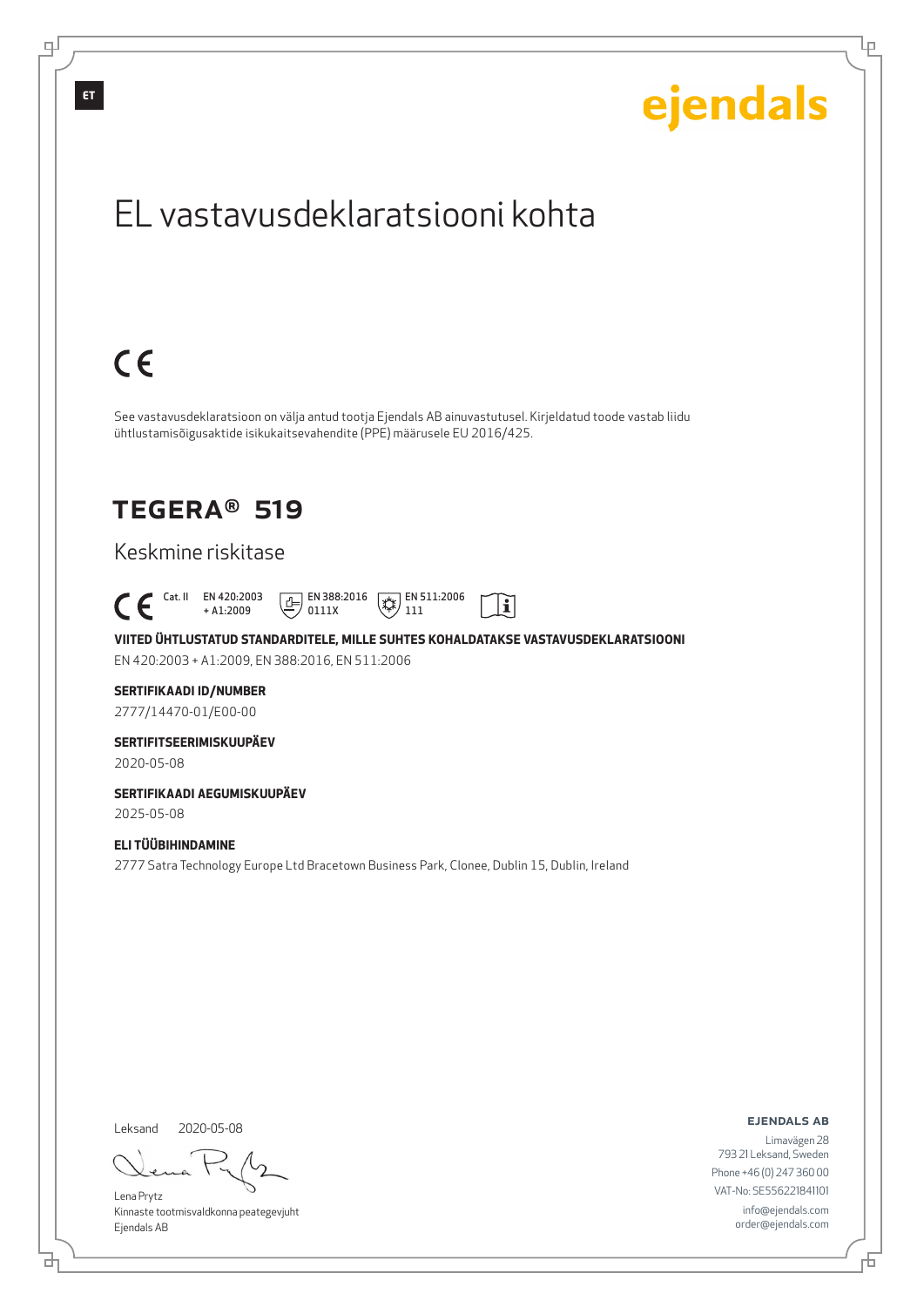

Lena Prytz Kinnaste tootmisvaldkonna peategevjuht Ejendals AB

<u>다</u>

793 21 Leksand, Sweden Phone +46 (0) 247 360 00 VAT-No: SE556221841101 info@ejendals.com order@ejendals.com

Đ

Lρ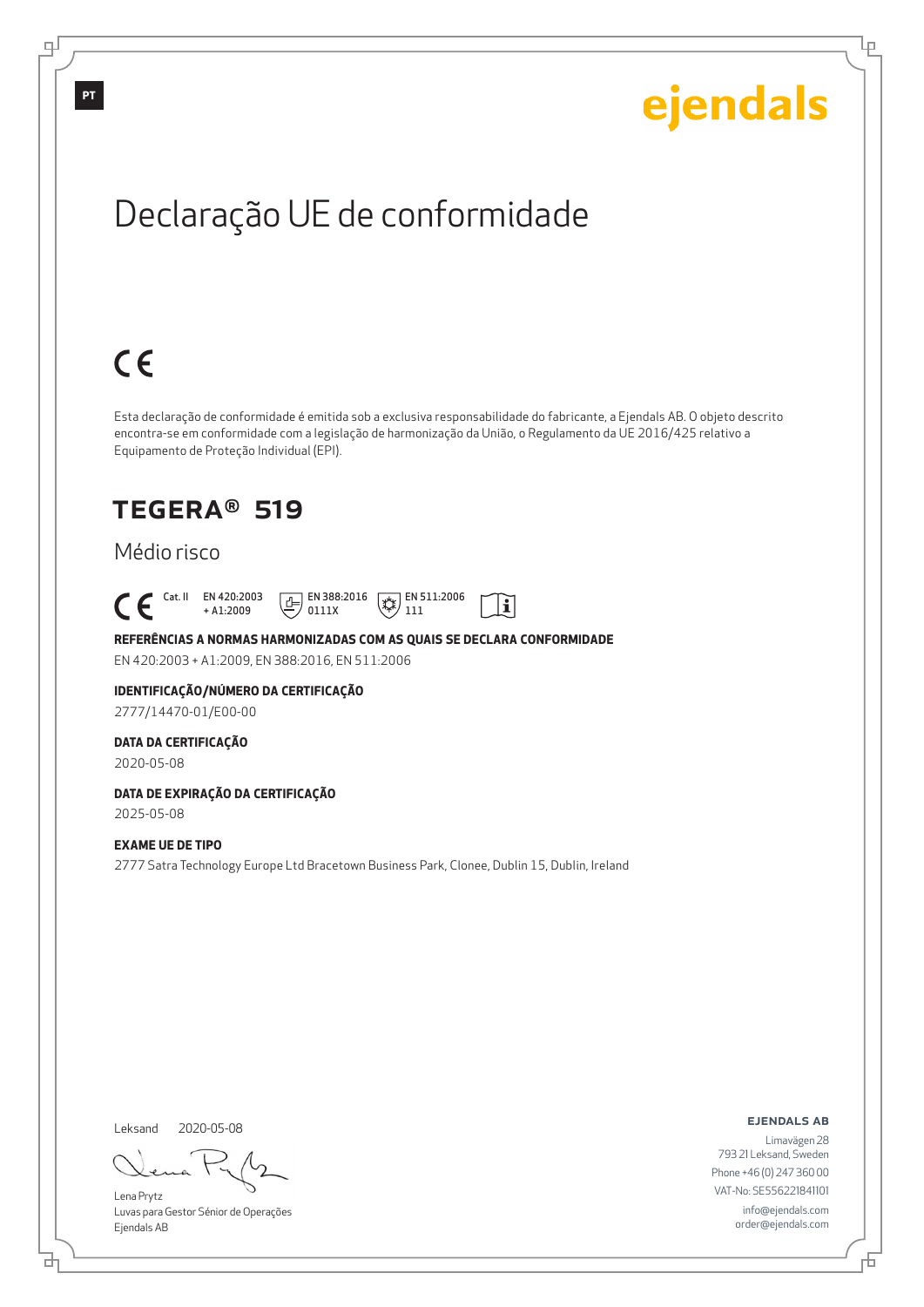Ļμ

# Declaração UE de conformidade

# $C \in$

Esta declaração de conformidade é emitida sob a exclusiva responsabilidade do fabricante, a Ejendals AB. O objeto descrito encontra-se em conformidade com a legislação de harmonização da União, o Regulamento da UE 2016/425 relativo a Equipamento de Proteção Individual (EPI).

 $|\tilde{\mathbf{i}}|$ 

### TEGERA® 519

### Médio risco

 Cat. II EN 420:2003 + A1:2009  $E$  EN 388:2016 0111X  $\mathbb{R}$  EN 511:2006 111

**REFERÊNCIAS A NORMAS HARMONIZADAS COM AS QUAIS SE DECLARA CONFORMIDADE** EN 420:2003 + A1:2009, EN 388:2016, EN 511:2006

### **IDENTIFICAÇÃO/NÚMERO DA CERTIFICAÇÃO**

2777/14470-01/E00-00

#### **DATA DA CERTIFICAÇÃO**

2020-05-08

### **DATA DE EXPIRAÇÃO DA CERTIFICAÇÃO**

2025-05-08

#### **EXAME UE DE TIPO**

2777 Satra Technology Europe Ltd Bracetown Business Park, Clonee, Dublin 15, Dublin, Ireland

Leksand 2020-05-08

브

Lena Prytz Luvas para Gestor Sénior de Operações Ejendals AB

ejendals ab

Б

Limavägen 28 793 21 Leksand, Sweden Phone +46 (0) 247 360 00 VAT-No: SE556221841101 info@ejendals.com order@ejendals.com

டி

**PT**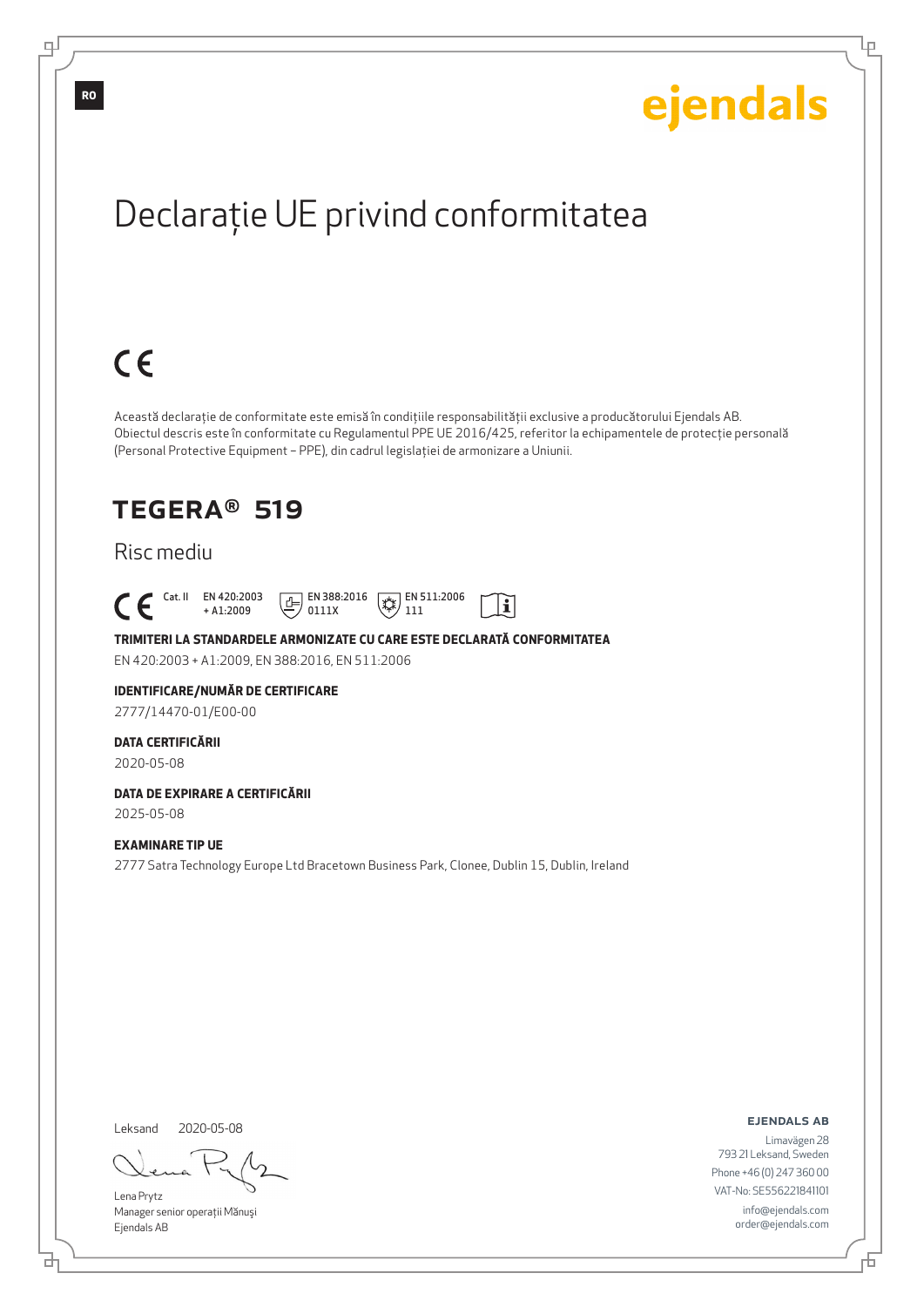Ļμ

# Declaraţie UE privind conformitatea

# $C \in$

Această declaraţie de conformitate este emisă în condiţiile responsabilităţii exclusive a producătorului Ejendals AB. Obiectul descris este în conformitate cu Regulamentul PPE UE 2016/425, referitor la echipamentele de protecţie personală (Personal Protective Equipment – PPE), din cadrul legislaţiei de armonizare a Uniunii.

> $\mathbb{R}$  EN 511:2006 111

 $|\tilde{\mathbf{i}}|$ 

### TEGERA® 519

### Risc mediu

 Cat. II EN 420:2003 + A1:2009  $E$  EN 388:2016 0111X

**TRIMITERI LA STANDARDELE ARMONIZATE CU CARE ESTE DECLARATĂ CONFORMITATEA** EN 420:2003 + A1:2009, EN 388:2016, EN 511:2006

#### **IDENTIFICARE/NUMĂR DE CERTIFICARE**

2777/14470-01/E00-00

#### **DATA CERTIFICĂRII**

2020-05-08

### **DATA DE EXPIRARE A CERTIFICĂRII**

2025-05-08

#### **EXAMINARE TIP UE**

2777 Satra Technology Europe Ltd Bracetown Business Park, Clonee, Dublin 15, Dublin, Ireland

Leksand

브

2020-05-08

Lena Prytz Manager senior operaţii Mănuşi Ejendals AB

ejendals ab

Б

Limavägen 28 793 21 Leksand, Sweden Phone +46 (0) 247 360 00 VAT-No: SE556221841101 info@ejendals.com order@ejendals.com

டி

**RO**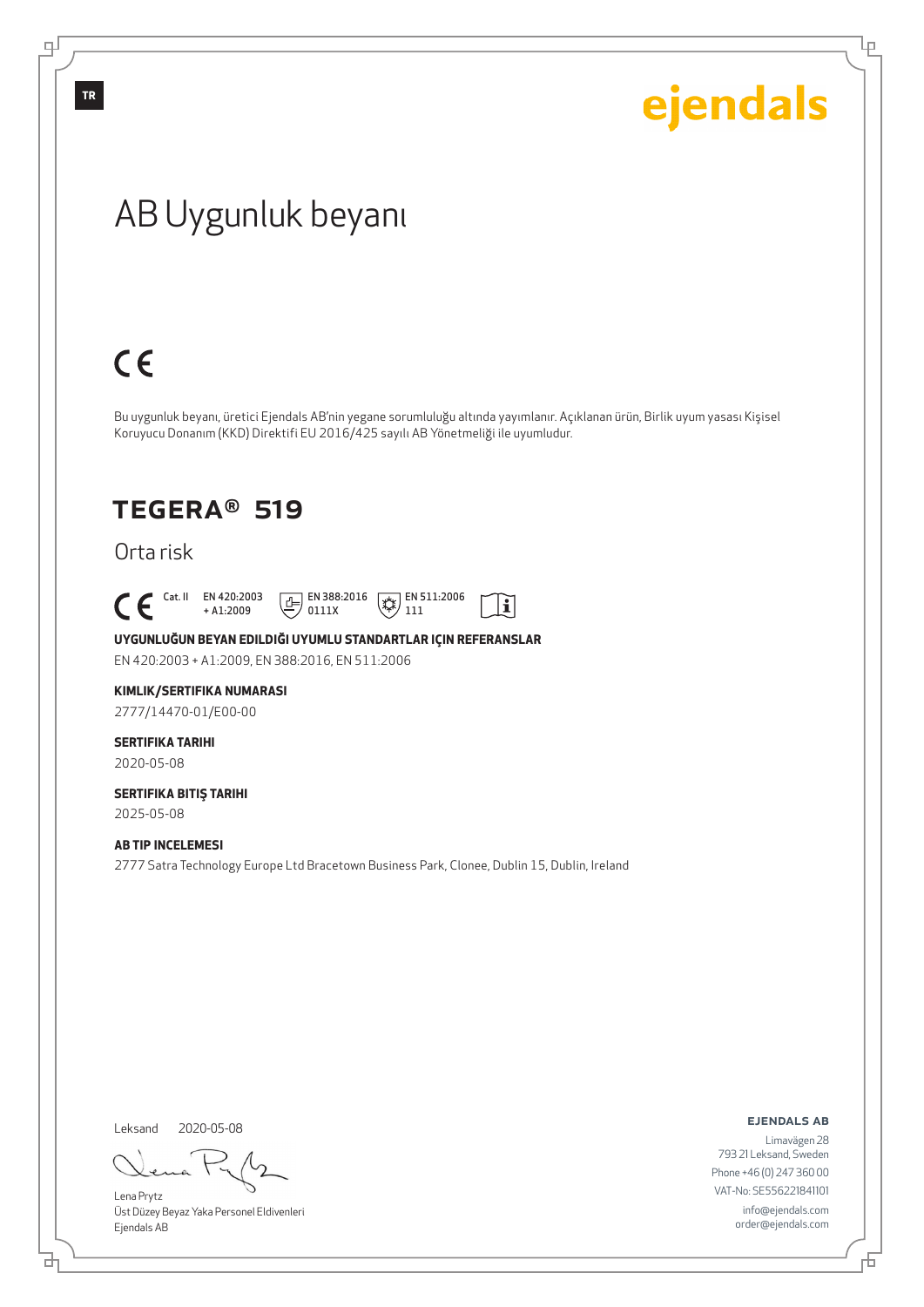Ļμ

# AB Uygunluk beyanı

# $C \in$

Bu uygunluk beyanı, üretici Ejendals AB'nin yegane sorumluluğu altında yayımlanır. Açıklanan ürün, Birlik uyum yasası Kişisel Koruyucu Donanım (KKD) Direktifi EU 2016/425 sayılı AB Yönetmeliği ile uyumludur.

### TEGERA® 519

Orta risk

 $\begin{bmatrix} \mathsf{Cat} & \mathsf{II} & \mathsf{EN} & 420:2003 \\ + & \mathsf{A} & 1:2009 \end{bmatrix}$ 

+ A1:2009  $\boxed{E}$  EN 388:2016 0111X

 $\left(\frac{1}{2}\right)$  EN 511:2006 111

 $|\tilde{\mathbf{i}}|$ 

**UYGUNLUĞUN BEYAN EDILDIĞI UYUMLU STANDARTLAR IÇIN REFERANSLAR**

EN 420:2003 + A1:2009, EN 388:2016, EN 511:2006

#### **KIMLIK/SERTIFIKA NUMARASI**

2777/14470-01/E00-00

### **SERTIFIKA TARIHI**

2020-05-08

#### **SERTIFIKA BITIŞ TARIHI** 2025-05-08

#### **AB TIP INCELEMESI**

2777 Satra Technology Europe Ltd Bracetown Business Park, Clonee, Dublin 15, Dublin, Ireland

Leksand 2020-05-08

đ

Lena Prytz Üst Düzey Beyaz Yaka Personel Eldivenleri Ejendals AB

ejendals ab

Limavägen 28 793 21 Leksand, Sweden Phone +46 (0) 247 360 00 VAT-No: SE556221841101 info@ejendals.com order@ejendals.com

டி

**TR**

舌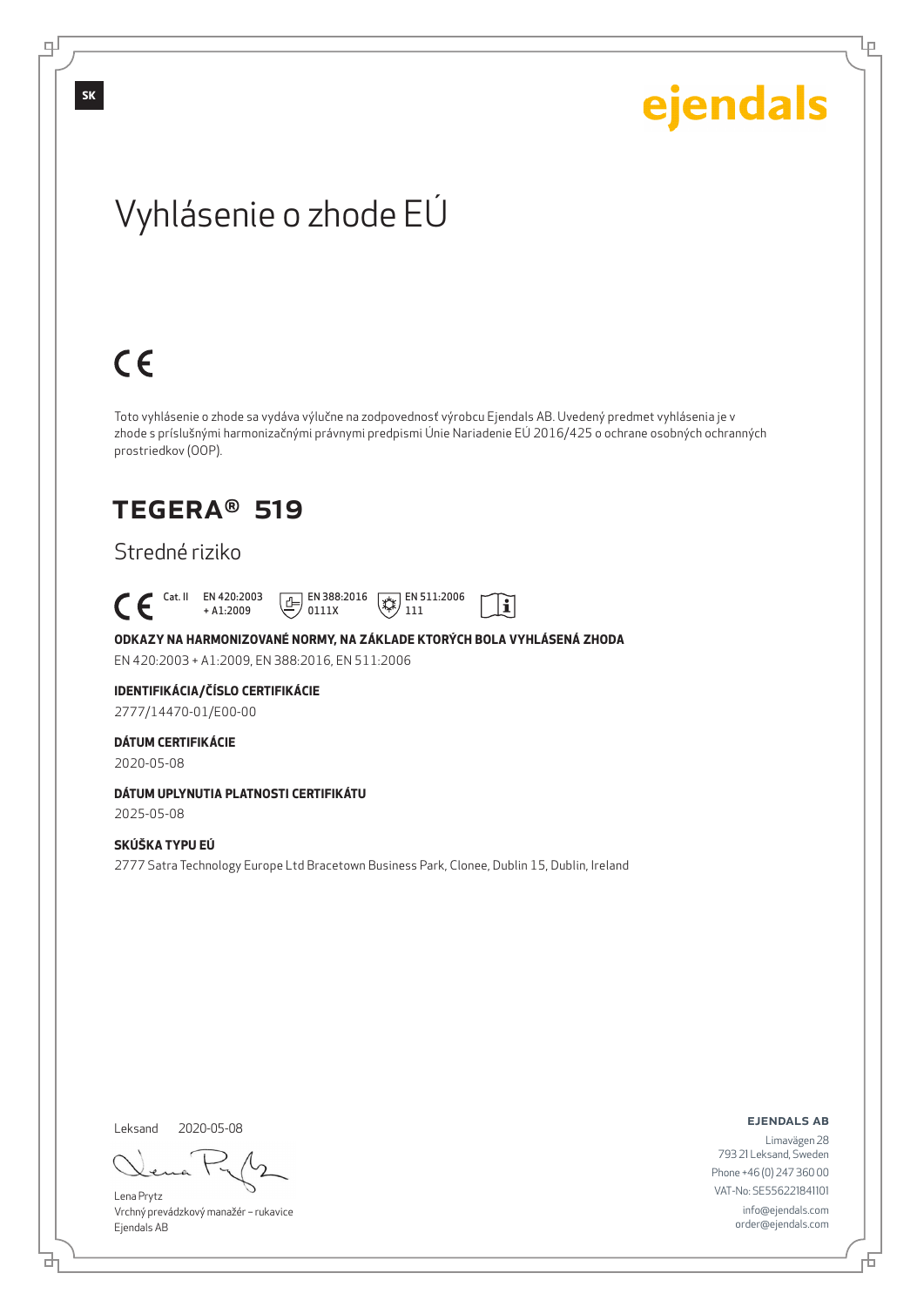Lρ

# Vyhlásenie o zhode EÚ

# $C \in$

Toto vyhlásenie o zhode sa vydáva výlučne na zodpovednosť výrobcu Ejendals AB. Uvedený predmet vyhlásenia je v zhode s príslušnými harmonizačnými právnymi predpismi Únie Nariadenie EÚ 2016/425 o ochrane osobných ochranných prostriedkov (OOP).

 $|\tilde{\mathbf{i}}|$ 

### TEGERA® 519

### Stredné riziko

 Cat. II EN 420:2003 + A1:2009  $\boxed{E}$  EN 388:2016 0111X  $\mathbb{R}$  EN 511:2006 111

**ODKAZY NA HARMONIZOVANÉ NORMY, NA ZÁKLADE KTORÝCH BOLA VYHLÁSENÁ ZHODA** EN 420:2003 + A1:2009, EN 388:2016, EN 511:2006

### **IDENTIFIKÁCIA/ČÍSLO CERTIFIKÁCIE**

2777/14470-01/E00-00

#### **DÁTUM CERTIFIKÁCIE**

2020-05-08

#### **DÁTUM UPLYNUTIA PLATNOSTI CERTIFIKÁTU**

2025-05-08

#### **SKÚŠKA TYPU EÚ**

2777 Satra Technology Europe Ltd Bracetown Business Park, Clonee, Dublin 15, Dublin, Ireland

Leksand 2020-05-08

<u>다</u>

Lena Prytz Vrchný prevádzkový manažér – rukavice Ejendals AB

#### ejendals ab

Đ

Limavägen 28 793 21 Leksand, Sweden Phone +46 (0) 247 360 00 VAT-No: SE556221841101 info@ejendals.com order@ejendals.com

டி

**SK**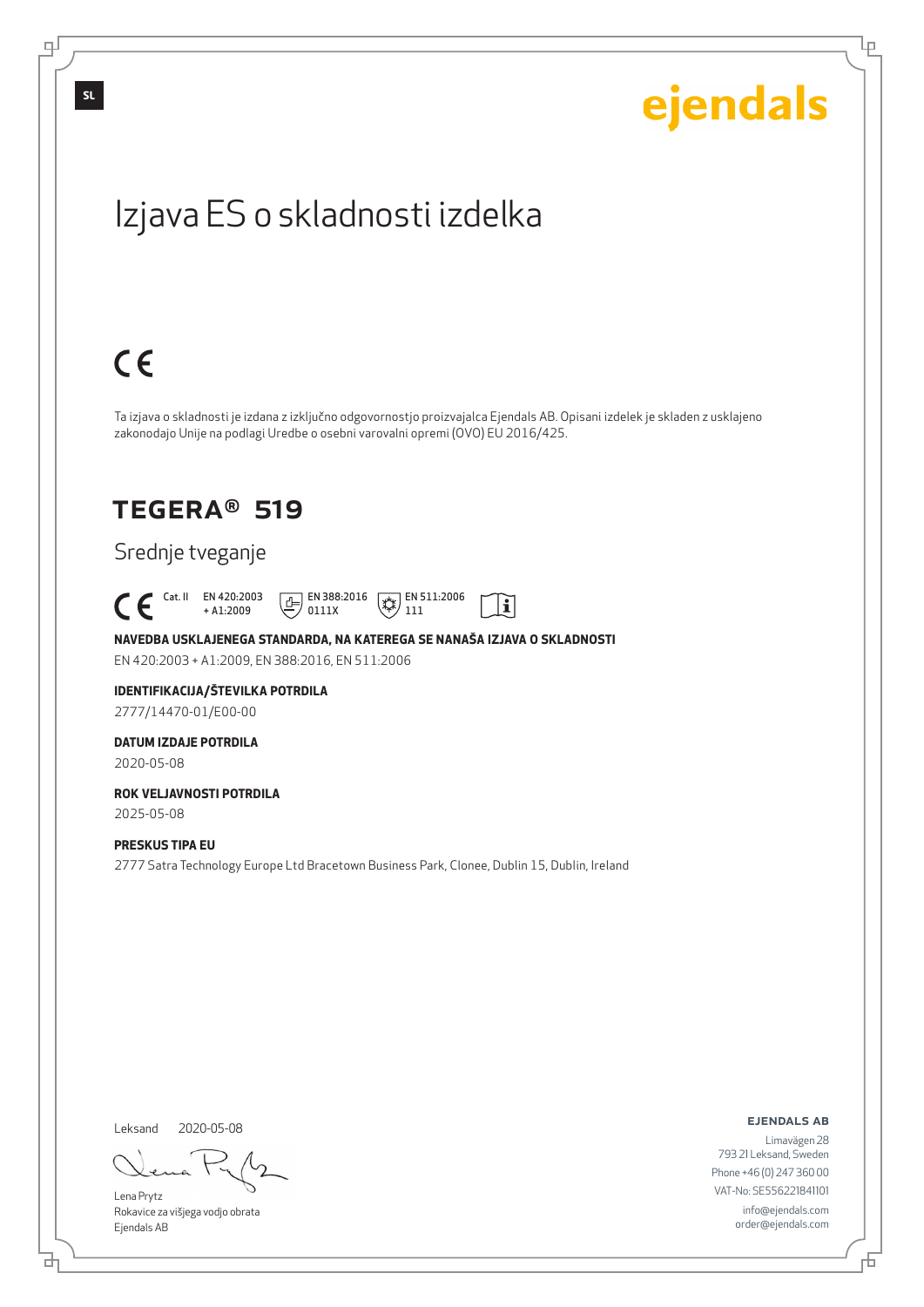Lρ

# Izjava ES o skladnosti izdelka

# $C \in$

Ta izjava o skladnosti je izdana z izključno odgovornostjo proizvajalca Ejendals AB. Opisani izdelek je skladen z usklajeno zakonodajo Unije na podlagi Uredbe o osebni varovalni opremi (OVO) EU 2016/425.

li

### TEGERA® 519

### Srednje tveganje

 Cat. II EN 420:2003 + A1:2009  $E$  EN 388:2016 0111X  $\mathbb{R}$  EN 511:2006 111

**NAVEDBA USKLAJENEGA STANDARDA, NA KATEREGA SE NANAŠA IZJAVA O SKLADNOSTI** EN 420:2003 + A1:2009, EN 388:2016, EN 511:2006

#### **IDENTIFIKACIJA/ŠTEVILKA POTRDILA** 2777/14470-01/E00-00

**DATUM IZDAJE POTRDILA**

2020-05-08

#### **ROK VELJAVNOSTI POTRDILA** 2025-05-08

#### **PRESKUS TIPA EU**

2777 Satra Technology Europe Ltd Bracetown Business Park, Clonee, Dublin 15, Dublin, Ireland

Leksand 2020-05-08

<u>다</u>

Lena Prytz Rokavice za višjega vodjo obrata Ejendals AB

ejendals ab

Limavägen 28 793 21 Leksand, Sweden Phone +46 (0) 247 360 00 VAT-No: SE556221841101 info@ejendals.com order@ejendals.com

டி

**SL**

Đ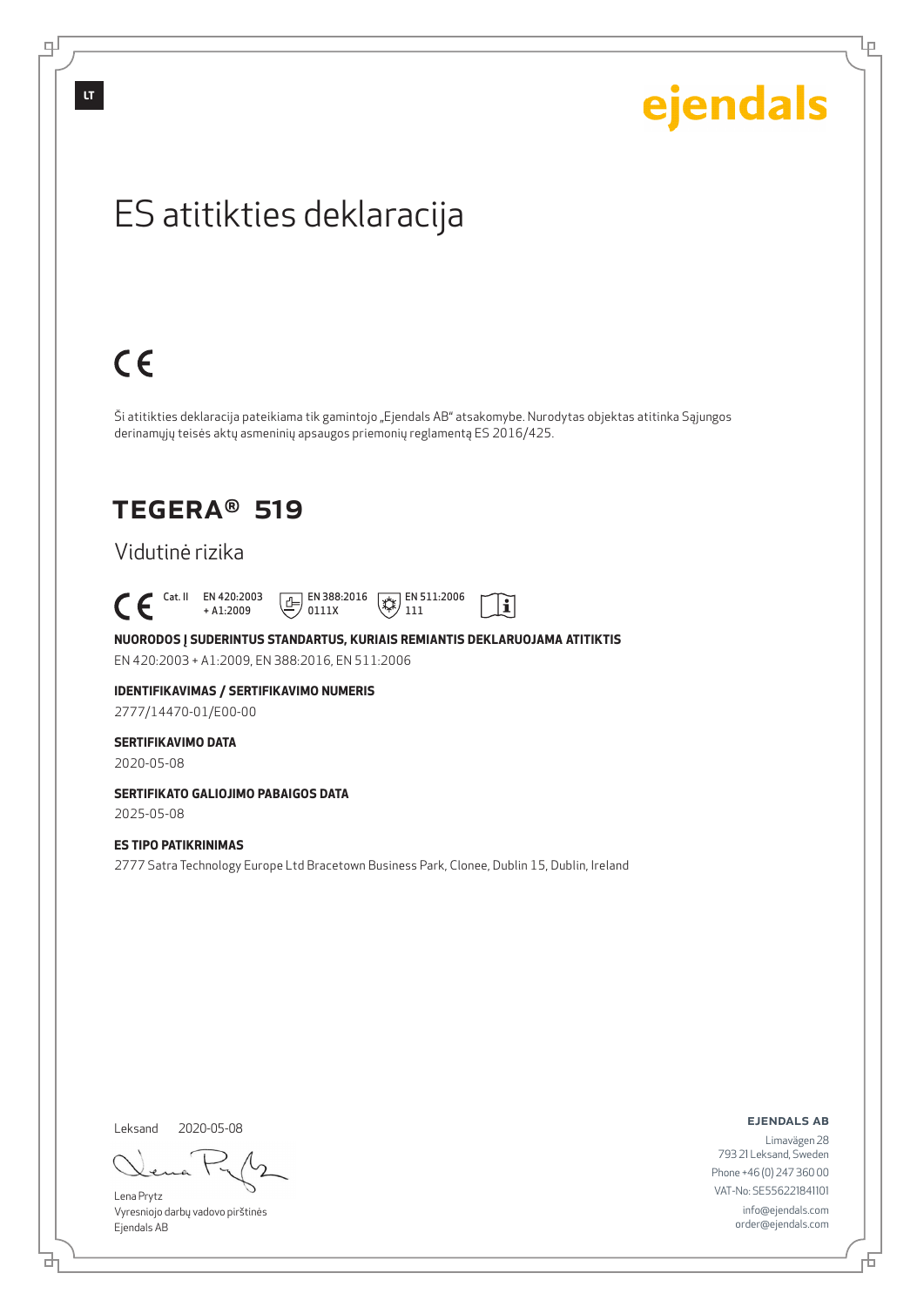# ejendals

Lρ

# ES atitikties deklaracija

# $C \in$

Ši atitikties deklaracija pateikiama tik gamintojo "Ejendals AB" atsakomybe. Nurodytas objektas atitinka Sąjungos derinamųjų teisės aktų asmeninių apsaugos priemonių reglamentą ES 2016/425.

 $|\tilde{\mathbf{i}}|$ 

### TEGERA® 519

### Vidutinė rizika

 $\begin{bmatrix} \mathsf{Cat} & \mathsf{II} & \mathsf{EN} & 420:2003 \\ + & \mathsf{A} & 1:2009 \end{bmatrix}$ + A1:2009  $\boxed{E}$  EN 388:2016 0111X  $\mathbb{R}$  EN 511:2006 111

**NUORODOS Į SUDERINTUS STANDARTUS, KURIAIS REMIANTIS DEKLARUOJAMA ATITIKTIS** EN 420:2003 + A1:2009, EN 388:2016, EN 511:2006

### **IDENTIFIKAVIMAS / SERTIFIKAVIMO NUMERIS**

2777/14470-01/E00-00

#### **SERTIFIKAVIMO DATA**

2020-05-08

#### **SERTIFIKATO GALIOJIMO PABAIGOS DATA**

2025-05-08

#### **ES TIPO PATIKRINIMAS**

2777 Satra Technology Europe Ltd Bracetown Business Park, Clonee, Dublin 15, Dublin, Ireland

Leksand 2020-05-08

<u>다</u>

Lena Prytz Vyresniojo darbų vadovo pirštinės Ejendals AB

ejendals ab

Б

Limavägen 28 793 21 Leksand, Sweden Phone +46 (0) 247 360 00 VAT-No: SE556221841101 info@ejendals.com order@ejendals.com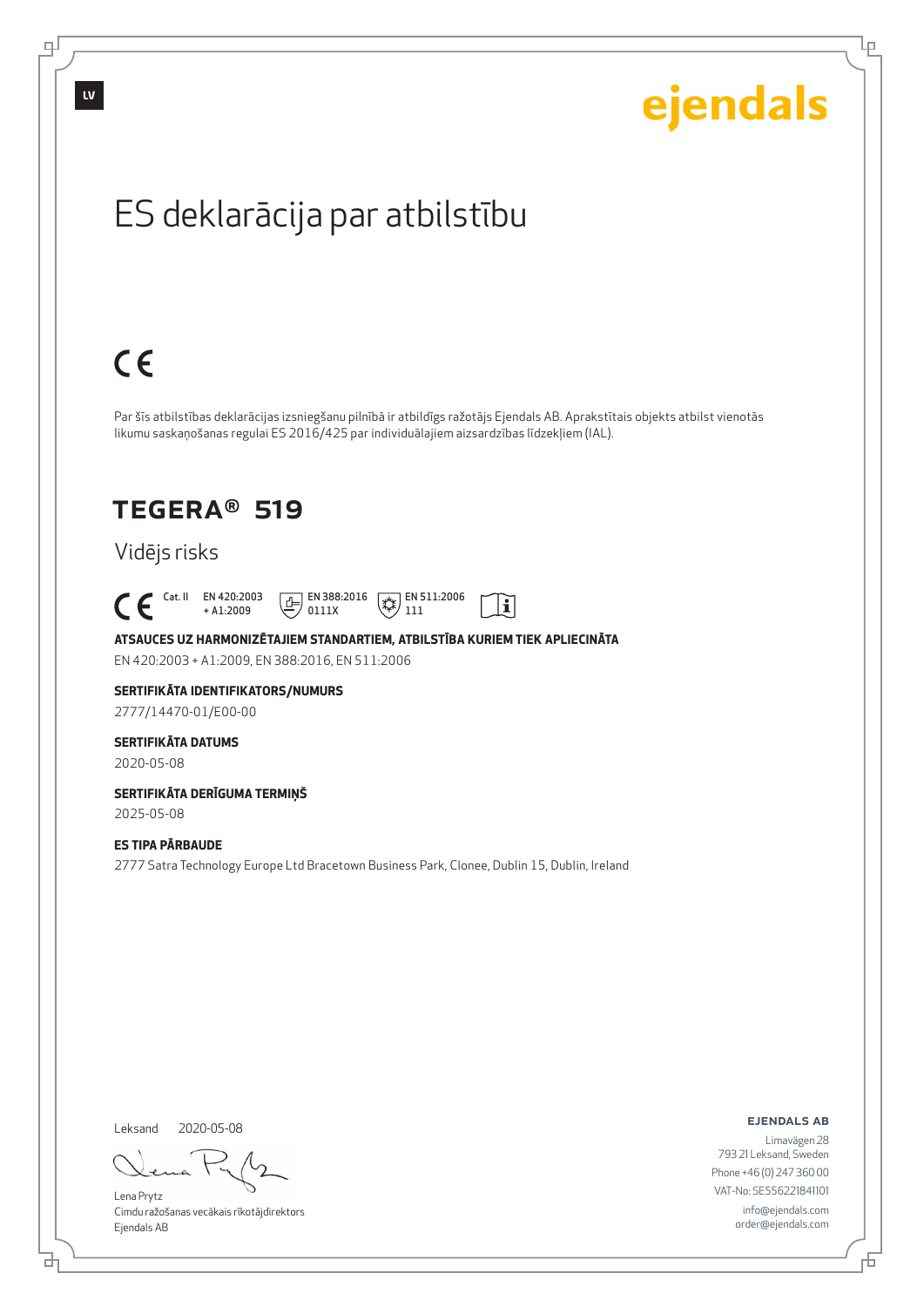

# $C \in$

Par šīs atbilstības deklarācijas izsniegšanu pilnībā ir atbildīgs ražotājs Ejendals AB. Aprakstītais objekts atbilst vienotās likumu saskaņošanas regulai ES 2016/425 par individuālajiem aizsardzības līdzekļiem (IAL).

> $\mathbb{R}$  EN 511:2006 111

 $\mathbf{i}$ 

### TEGERA® 519

### Vidējs risks

 Cat. II EN 420:2003 + A1:2009

**ATSAUCES UZ HARMONIZĒTAJIEM STANDARTIEM, ATBILSTĪBA KURIEM TIEK APLIECINĀTA** EN 420:2003 + A1:2009, EN 388:2016, EN 511:2006

 $E$  EN 388:2016 0111X

**SERTIFIKĀTA IDENTIFIKATORS/NUMURS**

2777/14470-01/E00-00

#### **SERTIFIKĀTA DATUMS**

2020-05-08

#### **SERTIFIKĀTA DERĪGUMA TERMIŅŠ** 2025-05-08

**ES TIPA PĀRBAUDE**

2777 Satra Technology Europe Ltd Bracetown Business Park, Clonee, Dublin 15, Dublin, Ireland

Leksand 2020-05-08

<u>다</u>

Lena Prytz

Cimdu ražošanas vecākais rīkotājdirektors Ejendals AB

ejendals ab

Б

Lρ

ejendals

Limavägen 28 793 21 Leksand, Sweden Phone +46 (0) 247 360 00 VAT-No: SE556221841101 info@ejendals.com order@ejendals.com

**LV**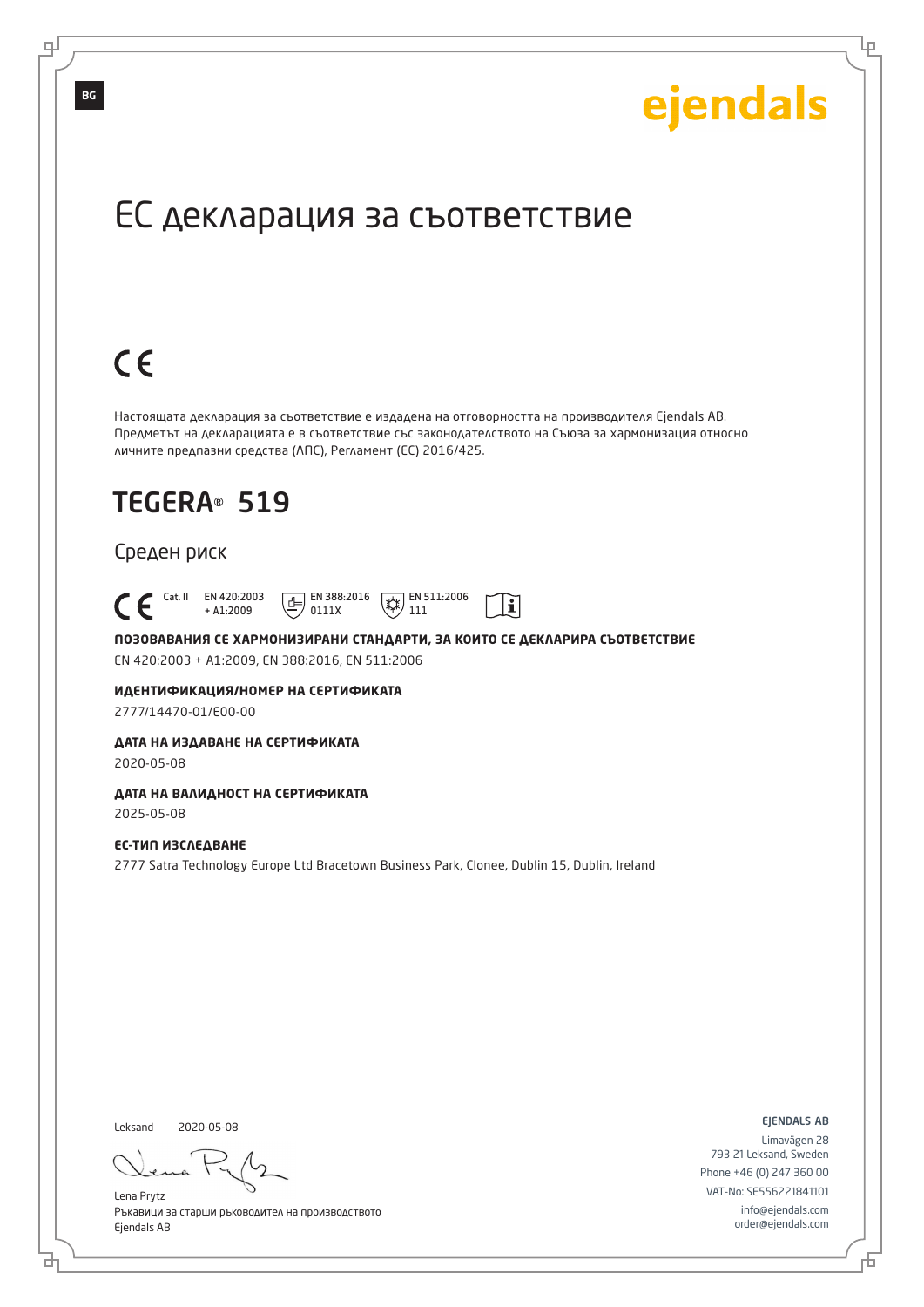Lр

# ЕС декларация за съответствие

# $C \in$

Настоящата декларация за съответствие е издадена на отговорността на производителя Ejendals AB. Предметът на декларацията е в съответствие със законодателството на Съюза за хармонизация относно личните предпазни средства (ЛПС), Регламент (ЕС) 2016/425.

# TEGERA® 519

#### Среден риск

 Cat. II EN 420:2003  $\boxed{E}$  EN 388:2016  $\mathbb{R}$  EN 511:2006  $\mathbf{i}$ + A1:2009 0111X 111

**ПОЗОВАВАНИЯ СЕ ХАРМОНИЗИРАНИ СТАНДАРТИ, ЗА КОИТО СЕ ДЕКЛАРИРА СЪОТВЕТСТВИЕ** EN 420:2003 + A1:2009, EN 388:2016, EN 511:2006

**ИДЕНТИФИКАЦИЯ/НОМЕР НА СЕРТИФИКАТА**

2777/14470-01/E00-00

#### **ДАТА НА ИЗДАВАНЕ НА СЕРТИФИКАТА**

2020-05-08

#### **ДАТА НА ВАЛИДНОСТ НА СЕРТИФИКАТА**

2025-05-08

### **ЕС-ТИП ИЗСЛЕДВАНЕ**

2777 Satra Technology Europe Ltd Bracetown Business Park, Clonee, Dublin 15, Dublin, Ireland

Leksand 2020-05-08

브

Lena Prytz Ръкавици за старши ръководител на производството Ejendals AB

ejendals ab

Đ

Limavägen 28 793 21 Leksand, Sweden Phone +46 (0) 247 360 00 VAT-No: SE556221841101 info@ejendals.com order@ejendals.com